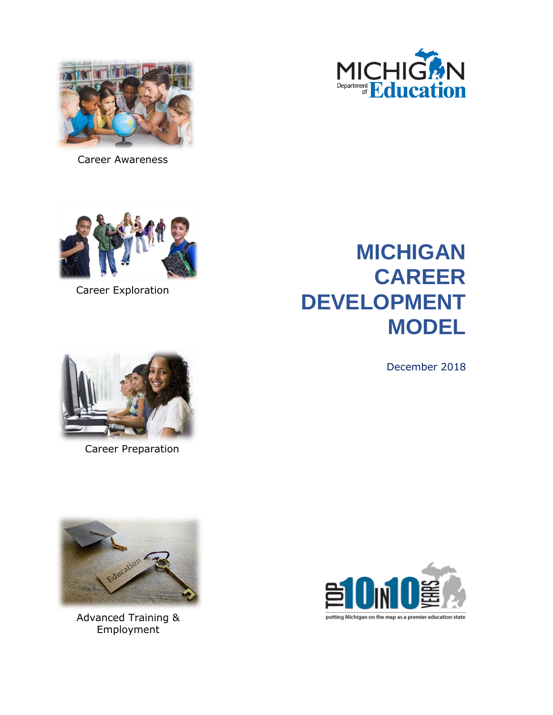



Career Awareness



Career Exploration

# **MICHIGAN CAREER DEVELOPMENT MODEL**

December 2018



Career Preparation



Advanced Training & Employment



putting Michigan on the map as a premier education state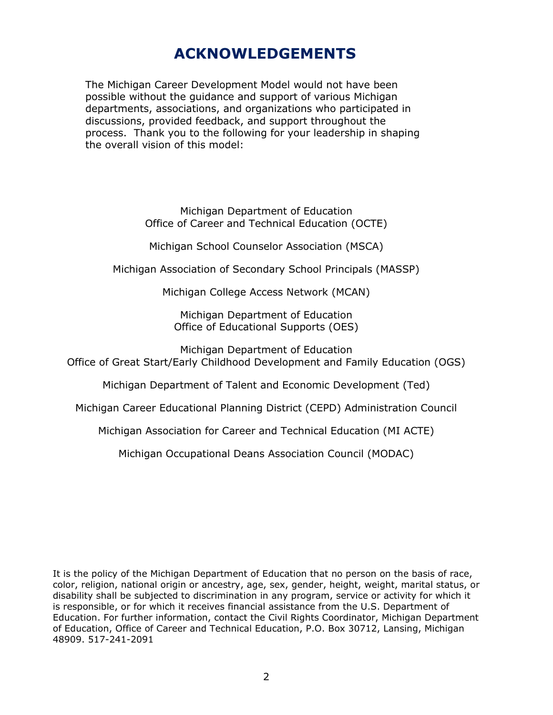## **ACKNOWLEDGEMENTS**

The Michigan Career Development Model would not have been possible without the guidance and support of various Michigan departments, associations, and organizations who participated in discussions, provided feedback, and support throughout the process. Thank you to the following for your leadership in shaping the overall vision of this model:

> Michigan Department of Education Office of Career and Technical Education (OCTE)

Michigan School Counselor Association (MSCA)

Michigan Association of Secondary School Principals (MASSP)

Michigan College Access Network (MCAN)

Michigan Department of Education Office of Educational Supports (OES)

Michigan Department of Education Office of Great Start/Early Childhood Development and Family Education (OGS)

Michigan Department of Talent and Economic Development (Ted)

Michigan Career Educational Planning District (CEPD) Administration Council

Michigan Association for Career and Technical Education (MI ACTE)

Michigan Occupational Deans Association Council (MODAC)

It is the policy of the Michigan Department of Education that no person on the basis of race, color, religion, national origin or ancestry, age, sex, gender, height, weight, marital status, or disability shall be subjected to discrimination in any program, service or activity for which it is responsible, or for which it receives financial assistance from the U.S. Department of Education. For further information, contact the Civil Rights Coordinator, Michigan Department of Education, Office of Career and Technical Education, P.O. Box 30712, Lansing, Michigan 48909. 517-241-2091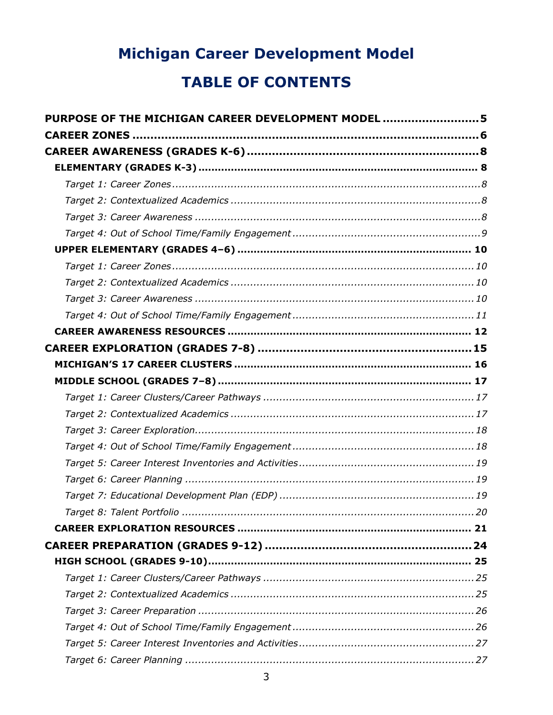# **Michigan Career Development Model TABLE OF CONTENTS**

| PURPOSE OF THE MICHIGAN CAREER DEVELOPMENT MODEL 5 |
|----------------------------------------------------|
|                                                    |
|                                                    |
|                                                    |
|                                                    |
|                                                    |
|                                                    |
|                                                    |
|                                                    |
|                                                    |
|                                                    |
|                                                    |
|                                                    |
|                                                    |
|                                                    |
|                                                    |
|                                                    |
|                                                    |
|                                                    |
|                                                    |
|                                                    |
|                                                    |
|                                                    |
|                                                    |
| . 20                                               |
|                                                    |
|                                                    |
|                                                    |
|                                                    |
|                                                    |
|                                                    |
|                                                    |
|                                                    |
|                                                    |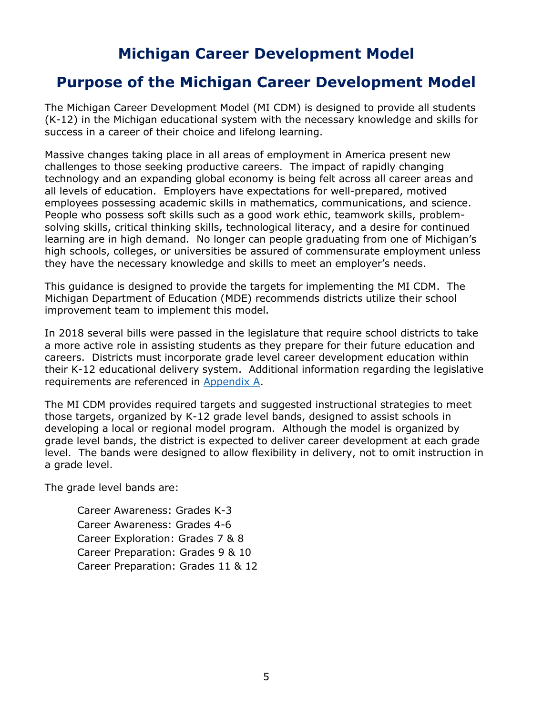## <span id="page-4-0"></span>**Purpose of the Michigan Career Development Model**

The Michigan Career Development Model (MI CDM) is designed to provide all students (K-12) in the Michigan educational system with the necessary knowledge and skills for success in a career of their choice and lifelong learning.

Massive changes taking place in all areas of employment in America present new challenges to those seeking productive careers. The impact of rapidly changing technology and an expanding global economy is being felt across all career areas and all levels of education. Employers have expectations for well-prepared, motived employees possessing academic skills in mathematics, communications, and science. People who possess soft skills such as a good work ethic, teamwork skills, problemsolving skills, critical thinking skills, technological literacy, and a desire for continued learning are in high demand. No longer can people graduating from one of Michigan's high schools, colleges, or universities be assured of commensurate employment unless they have the necessary knowledge and skills to meet an employer's needs.

This guidance is designed to provide the targets for implementing the MI CDM. The Michigan Department of Education (MDE) recommends districts utilize their school improvement team to implement this model.

In 2018 several bills were passed in the legislature that require school districts to take a more active role in assisting students as they prepare for their future education and careers. Districts must incorporate grade level career development education within their K-12 educational delivery system. Additional information regarding the legislative requirements are referenced in [Appendix A.](#page-35-0)

The MI CDM provides required targets and suggested instructional strategies to meet those targets, organized by K-12 grade level bands, designed to assist schools in developing a local or regional model program. Although the model is organized by grade level bands, the district is expected to deliver career development at each grade level. The bands were designed to allow flexibility in delivery, not to omit instruction in a grade level.

The grade level bands are:

Career Awareness: Grades K-3 Career Awareness: Grades 4-6 Career Exploration: Grades 7 & 8 Career Preparation: Grades 9 & 10 Career Preparation: Grades 11 & 12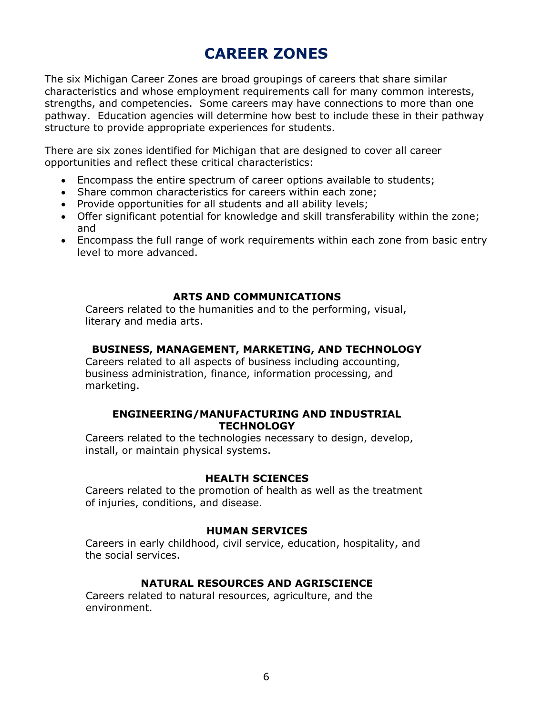## **CAREER ZONES**

<span id="page-5-0"></span>The six Michigan Career Zones are broad groupings of careers that share similar characteristics and whose employment requirements call for many common interests, strengths, and competencies. Some careers may have connections to more than one pathway. Education agencies will determine how best to include these in their pathway structure to provide appropriate experiences for students.

There are six zones identified for Michigan that are designed to cover all career opportunities and reflect these critical characteristics:

- Encompass the entire spectrum of career options available to students;
- Share common characteristics for careers within each zone;
- Provide opportunities for all students and all ability levels;
- Offer significant potential for knowledge and skill transferability within the zone; and
- Encompass the full range of work requirements within each zone from basic entry level to more advanced.

#### **ARTS AND COMMUNICATIONS**

Careers related to the humanities and to the performing, visual, literary and media arts.

#### **BUSINESS, MANAGEMENT, MARKETING, AND TECHNOLOGY**

Careers related to all aspects of business including accounting, business administration, finance, information processing, and marketing.

#### **ENGINEERING/MANUFACTURING AND INDUSTRIAL TECHNOLOGY**

Careers related to the technologies necessary to design, develop, install, or maintain physical systems.

#### **HEALTH SCIENCES**

Careers related to the promotion of health as well as the treatment of injuries, conditions, and disease.

#### **HUMAN SERVICES**

Careers in early childhood, civil service, education, hospitality, and the social services.

## **NATURAL RESOURCES AND AGRISCIENCE**

Careers related to natural resources, agriculture, and the environment.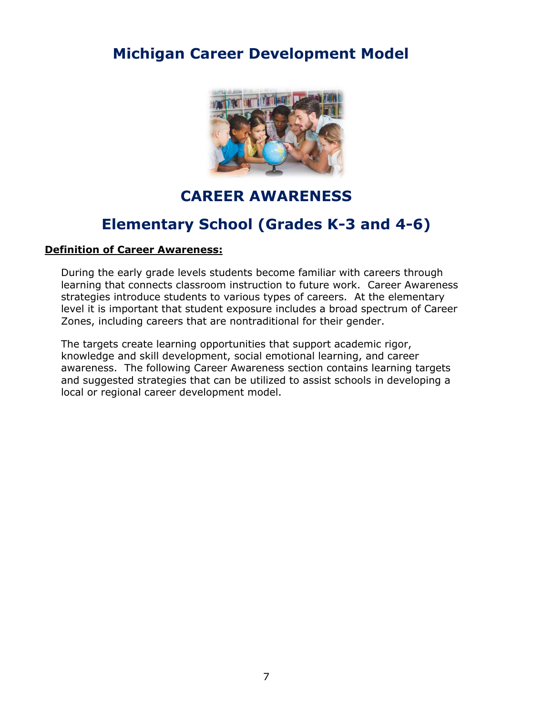

## **CAREER AWARENESS**

## **Elementary School (Grades K-3 and 4-6)**

#### **Definition of Career Awareness:**

During the early grade levels students become familiar with careers through learning that connects classroom instruction to future work. Career Awareness strategies introduce students to various types of careers. At the elementary level it is important that student exposure includes a broad spectrum of Career Zones, including careers that are nontraditional for their gender.

The targets create learning opportunities that support academic rigor, knowledge and skill development, social emotional learning, and career awareness. The following Career Awareness section contains learning targets and suggested strategies that can be utilized to assist schools in developing a local or regional career development model.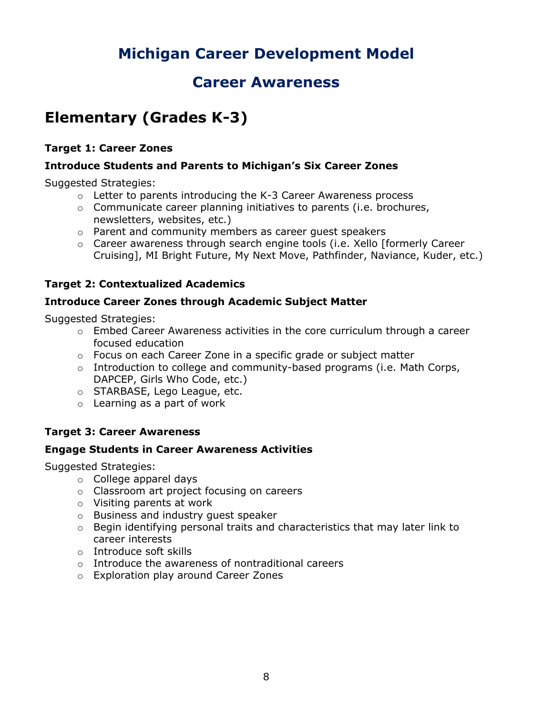## **Career Awareness**

## <span id="page-7-1"></span><span id="page-7-0"></span>**Elementary (Grades K-3)**

## <span id="page-7-2"></span>**Target 1: Career Zones**

### **Introduce Students and Parents to Michigan's Six Career Zones**

Suggested Strategies:

- o Letter to parents introducing the K-3 Career Awareness process
- o Communicate career planning initiatives to parents (i.e. brochures, newsletters, websites, etc.)
- o Parent and community members as career guest speakers
- o Career awareness through search engine tools (i.e. Xello [formerly Career Cruising], MI Bright Future, My Next Move, Pathfinder, Naviance, Kuder, etc.)

## <span id="page-7-3"></span>**Target 2: Contextualized Academics**

### **Introduce Career Zones through Academic Subject Matter**

Suggested Strategies:

- $\circ$  Embed Career Awareness activities in the core curriculum through a career focused education
- $\circ$  Focus on each Career Zone in a specific grade or subject matter
- o Introduction to college and community-based programs (i.e. Math Corps, DAPCEP, Girls Who Code, etc.)
- o STARBASE, Lego League, etc.
- o Learning as a part of work

## <span id="page-7-4"></span>**Target 3: Career Awareness**

#### **Engage Students in Career Awareness Activities**

- o College apparel days
- o Classroom art project focusing on careers
- o Visiting parents at work
- o Business and industry guest speaker
- o Begin identifying personal traits and characteristics that may later link to career interests
- o Introduce soft skills
- o Introduce the awareness of nontraditional careers
- o Exploration play around Career Zones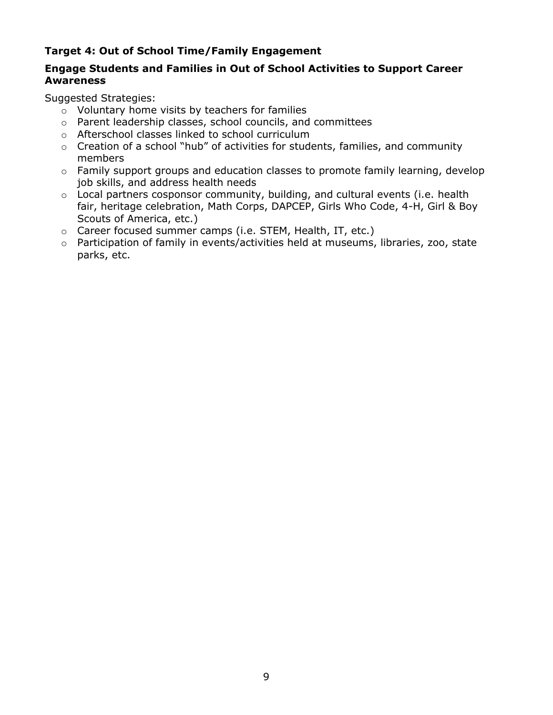## <span id="page-8-0"></span>**Target 4: Out of School Time/Family Engagement**

### **Engage Students and Families in Out of School Activities to Support Career Awareness**

- o Voluntary home visits by teachers for families
- o Parent leadership classes, school councils, and committees
- o Afterschool classes linked to school curriculum
- o Creation of a school "hub" of activities for students, families, and community members
- o Family support groups and education classes to promote family learning, develop job skills, and address health needs
- o Local partners cosponsor community, building, and cultural events (i.e. health fair, heritage celebration, Math Corps, DAPCEP, Girls Who Code, 4-H, Girl & Boy Scouts of America, etc.)
- o Career focused summer camps (i.e. STEM, Health, IT, etc.)
- o Participation of family in events/activities held at museums, libraries, zoo, state parks, etc.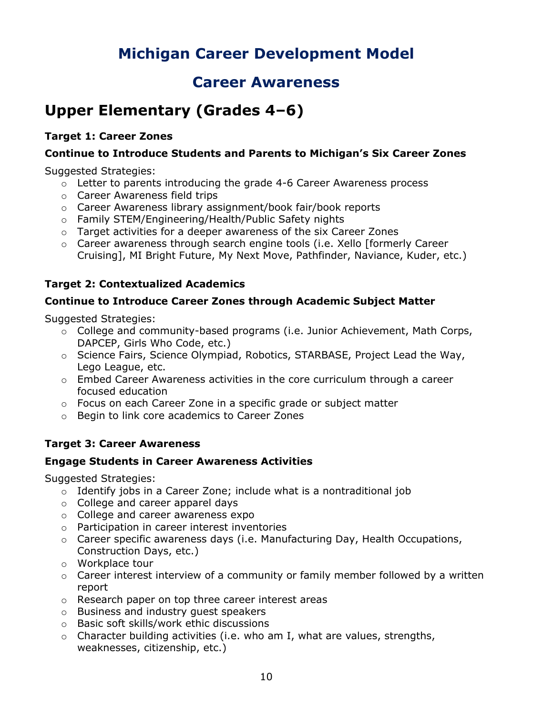## **Career Awareness**

## <span id="page-9-0"></span>**Upper Elementary (Grades 4–6)**

### <span id="page-9-1"></span>**Target 1: Career Zones**

### **Continue to Introduce Students and Parents to Michigan's Six Career Zones**

Suggested Strategies:

- o Letter to parents introducing the grade 4-6 Career Awareness process
- o Career Awareness field trips
- o Career Awareness library assignment/book fair/book reports
- o Family STEM/Engineering/Health/Public Safety nights
- o Target activities for a deeper awareness of the six Career Zones
- o Career awareness through search engine tools (i.e. Xello [formerly Career Cruising], MI Bright Future, My Next Move, Pathfinder, Naviance, Kuder, etc.)

### <span id="page-9-2"></span>**Target 2: Contextualized Academics**

#### **Continue to Introduce Career Zones through Academic Subject Matter**

Suggested Strategies:

- $\circ$  College and community-based programs (i.e. Junior Achievement, Math Corps, DAPCEP, Girls Who Code, etc.)
- o Science Fairs, Science Olympiad, Robotics, STARBASE, Project Lead the Way, Lego League, etc.
- $\circ$  Embed Career Awareness activities in the core curriculum through a career focused education
- o Focus on each Career Zone in a specific grade or subject matter
- o Begin to link core academics to Career Zones

## <span id="page-9-3"></span>**Target 3: Career Awareness**

#### **Engage Students in Career Awareness Activities**

- o Identify jobs in a Career Zone; include what is a nontraditional job
- o College and career apparel days
- o College and career awareness expo
- o Participation in career interest inventories
- $\circ$  Career specific awareness days (i.e. Manufacturing Day, Health Occupations, Construction Days, etc.)
- o Workplace tour
- $\circ$  Career interest interview of a community or family member followed by a written report
- o Research paper on top three career interest areas
- o Business and industry guest speakers
- o Basic soft skills/work ethic discussions
- $\circ$  Character building activities (i.e. who am I, what are values, strengths, weaknesses, citizenship, etc.)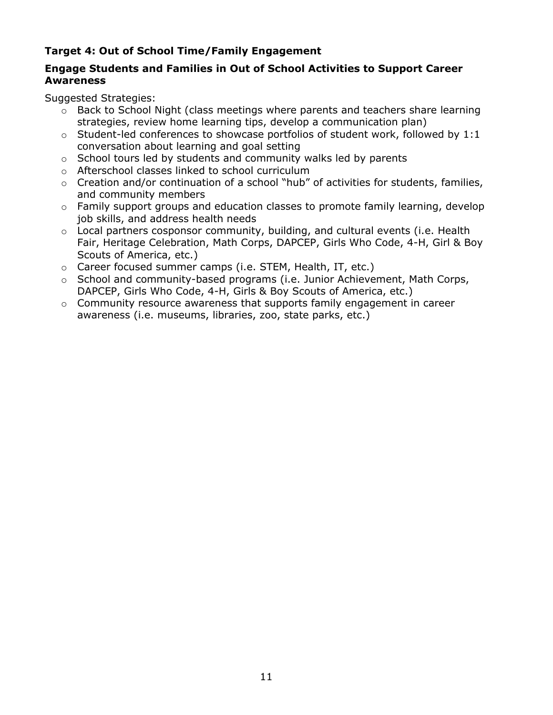## <span id="page-10-0"></span>**Target 4: Out of School Time/Family Engagement**

### **Engage Students and Families in Out of School Activities to Support Career Awareness**

- $\circ$  Back to School Night (class meetings where parents and teachers share learning strategies, review home learning tips, develop a communication plan)
- $\circ$  Student-led conferences to showcase portfolios of student work, followed by 1:1 conversation about learning and goal setting
- $\circ$  School tours led by students and community walks led by parents
- o Afterschool classes linked to school curriculum
- $\circ$  Creation and/or continuation of a school "hub" of activities for students, families, and community members
- $\circ$  Family support groups and education classes to promote family learning, develop job skills, and address health needs
- $\circ$  Local partners cosponsor community, building, and cultural events (i.e. Health Fair, Heritage Celebration, Math Corps, DAPCEP, Girls Who Code, 4-H, Girl & Boy Scouts of America, etc.)
- o Career focused summer camps (i.e. STEM, Health, IT, etc.)
- o School and community-based programs (i.e. Junior Achievement, Math Corps, DAPCEP, Girls Who Code, 4-H, Girls & Boy Scouts of America, etc.)
- $\circ$  Community resource awareness that supports family engagement in career awareness (i.e. museums, libraries, zoo, state parks, etc.)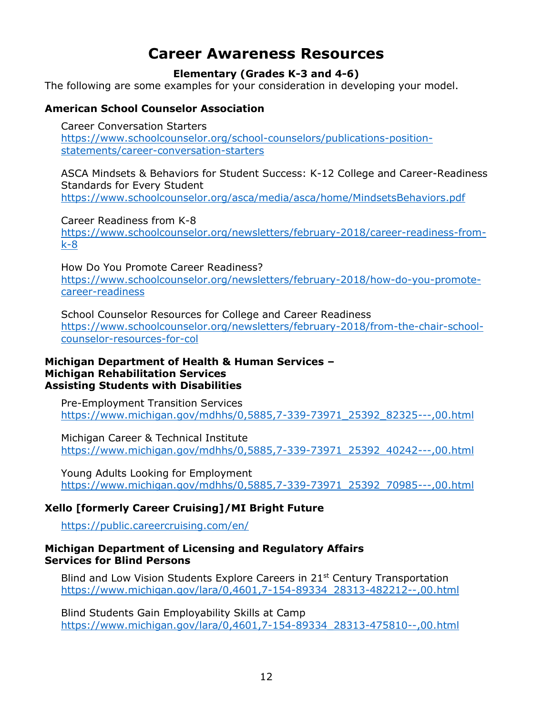## **Career Awareness Resources**

#### **Elementary (Grades K-3 and 4-6)**

<span id="page-11-0"></span>The following are some examples for your consideration in developing your model.

#### **American School Counselor Association**

Career Conversation Starters [https://www.schoolcounselor.org/school-counselors/publications-position](https://www.schoolcounselor.org/school-counselors/publications-position-statements/career-conversation-starters)[statements/career-conversation-starters](https://www.schoolcounselor.org/school-counselors/publications-position-statements/career-conversation-starters)

ASCA Mindsets & Behaviors for Student Success: K-12 College and Career-Readiness Standards for Every Student <https://www.schoolcounselor.org/asca/media/asca/home/MindsetsBehaviors.pdf>

Career Readiness from K-8

[https://www.schoolcounselor.org/newsletters/february-2018/career-readiness-from](https://www.schoolcounselor.org/newsletters/february-2018/career-readiness-from-k-8)[k-8](https://www.schoolcounselor.org/newsletters/february-2018/career-readiness-from-k-8)

How Do You Promote Career Readiness? [https://www.schoolcounselor.org/newsletters/february-2018/how-do-you-promote](https://www.schoolcounselor.org/newsletters/february-2018/how-do-you-promote-career-readiness)[career-readiness](https://www.schoolcounselor.org/newsletters/february-2018/how-do-you-promote-career-readiness)

School Counselor Resources for College and Career Readiness [https://www.schoolcounselor.org/newsletters/february-2018/from-the-chair-school](https://www.schoolcounselor.org/newsletters/february-2018/from-the-chair-school-counselor-resources-for-col)[counselor-resources-for-col](https://www.schoolcounselor.org/newsletters/february-2018/from-the-chair-school-counselor-resources-for-col)

#### **Michigan Department of Health & Human Services – Michigan Rehabilitation Services Assisting Students with Disabilities**

Pre-Employment Transition Services [https://www.michigan.gov/mdhhs/0,5885,7-339-73971\\_25392\\_82325---,00.html](https://www.michigan.gov/mdhhs/0,5885,7-339-73971_25392_82325---,00.html)

Michigan Career & Technical Institute [https://www.michigan.gov/mdhhs/0,5885,7-339-73971\\_25392\\_40242---,00.html](https://www.michigan.gov/mdhhs/0,5885,7-339-73971_25392_40242---,00.html)

Young Adults Looking for Employment [https://www.michigan.gov/mdhhs/0,5885,7-339-73971\\_25392\\_70985---,00.html](https://www.michigan.gov/mdhhs/0,5885,7-339-73971_25392_70985---,00.html)

## **Xello [formerly Career Cruising]/MI Bright Future**

<https://public.careercruising.com/en/>

#### **Michigan Department of Licensing and Regulatory Affairs Services for Blind Persons**

Blind and Low Vision Students Explore Careers in  $21<sup>st</sup>$  Century Transportation [https://www.michigan.gov/lara/0,4601,7-154-89334\\_28313-482212--,00.html](https://www.michigan.gov/lara/0,4601,7-154-89334_28313-482212--,00.html)

Blind Students Gain Employability Skills at Camp [https://www.michigan.gov/lara/0,4601,7-154-89334\\_28313-475810--,00.html](https://www.michigan.gov/lara/0,4601,7-154-89334_28313-475810--,00.html)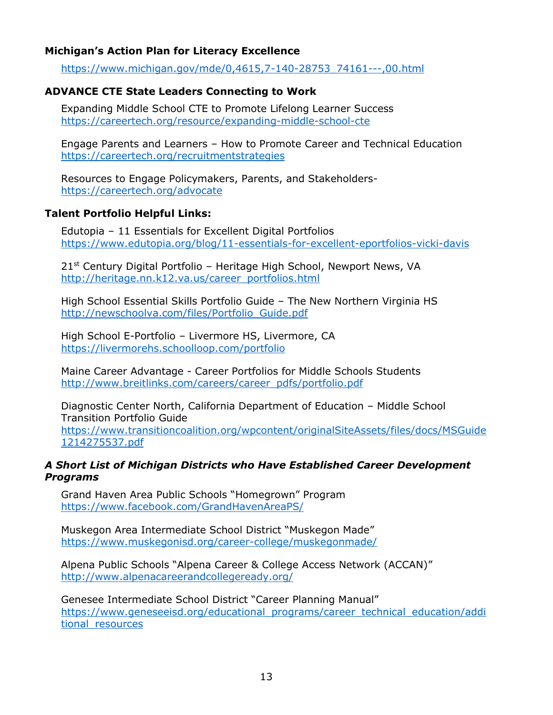### **Michigan's Action Plan for Literacy Excellence**

[https://www.michigan.gov/mde/0,4615,7-140-28753\\_74161---,00.html](https://www.michigan.gov/mde/0,4615,7-140-28753_74161---,00.html)

### **ADVANCE CTE State Leaders Connecting to Work**

Expanding Middle School CTE to Promote Lifelong Learner Success <https://careertech.org/resource/expanding-middle-school-cte>

Engage Parents and Learners – How to Promote Career and Technical Education <https://careertech.org/recruitmentstrategies>

Resources to Engage Policymakers, Parents, and Stakeholders<https://careertech.org/advocate>

### **Talent Portfolio Helpful Links:**

Edutopia – 11 Essentials for Excellent Digital Portfolios <https://www.edutopia.org/blog/11-essentials-for-excellent-eportfolios-vicki-davis>

21<sup>st</sup> Century Digital Portfolio - Heritage High School, Newport News, VA [http://heritage.nn.k12.va.us/career\\_portfolios.html](http://heritage.nn.k12.va.us/career_portfolios.html)

High School Essential Skills Portfolio Guide – The New Northern Virginia HS [http://newschoolva.com/files/Portfolio\\_Guide.pdf](http://newschoolva.com/files/Portfolio_Guide.pdf)

High School E-Portfolio – Livermore HS, Livermore, CA <https://livermorehs.schoolloop.com/portfolio>

Maine Career Advantage - Career Portfolios for Middle Schools Students [http://www.breitlinks.com/careers/career\\_pdfs/portfolio.pdf](http://www.breitlinks.com/careers/career_pdfs/portfolio.pdf)

Diagnostic Center North, California Department of Education – Middle School Transition Portfolio Guide [https://www.transitioncoalition.org/wpcontent/originalSiteAssets/files/docs/MSGuide](https://www.transitioncoalition.org/wpcontent/originalSiteAssets/files/docs/MSGuide1214275537.pdf) [1214275537.pdf](https://www.transitioncoalition.org/wpcontent/originalSiteAssets/files/docs/MSGuide1214275537.pdf)

### *A Short List of Michigan Districts who Have Established Career Development Programs*

Grand Haven Area Public Schools "Homegrown" Program <https://www.facebook.com/GrandHavenAreaPS/>

Muskegon Area Intermediate School District "Muskegon Made" <https://www.muskegonisd.org/career-college/muskegonmade/>

Alpena Public Schools "Alpena Career & College Access Network (ACCAN)" <http://www.alpenacareerandcollegeready.org/>

Genesee Intermediate School District "Career Planning Manual" [https://www.geneseeisd.org/educational\\_programs/career\\_technical\\_education/addi](https://www.geneseeisd.org/educational_programs/career_technical_education/additional_resources) [tional\\_resources](https://www.geneseeisd.org/educational_programs/career_technical_education/additional_resources)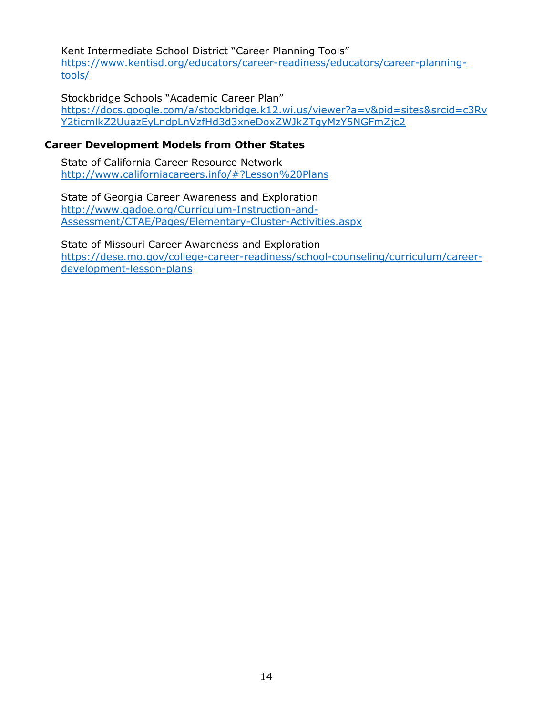Kent Intermediate School District "Career Planning Tools" [https://www.kentisd.org/educators/career-readiness/educators/career-planning](https://gcc02.safelinks.protection.outlook.com/?url=https%3A%2F%2Fwww.kentisd.org%2Feducators%2Fcareer-readiness%2Feducators%2Fcareer-planning-tools%2F&data=04%7C01%7CReyesL1%40michigan.gov%7C2bd787bea1484212af9a08d967e02385%7Cd5fb7087377742ad966a892ef47225d1%7C0%7C0%7C637655034622578641%7CUnknown%7CTWFpbGZsb3d8eyJWIjoiMC4wLjAwMDAiLCJQIjoiV2luMzIiLCJBTiI6Ik1haWwiLCJXVCI6Mn0%3D%7C1000&sdata=lqUiXRJgPgqG6KdJd1UfisOJtOJbqhbYQDyhB6ZCc40%3D&reserved=0)[tools/](https://gcc02.safelinks.protection.outlook.com/?url=https%3A%2F%2Fwww.kentisd.org%2Feducators%2Fcareer-readiness%2Feducators%2Fcareer-planning-tools%2F&data=04%7C01%7CReyesL1%40michigan.gov%7C2bd787bea1484212af9a08d967e02385%7Cd5fb7087377742ad966a892ef47225d1%7C0%7C0%7C637655034622578641%7CUnknown%7CTWFpbGZsb3d8eyJWIjoiMC4wLjAwMDAiLCJQIjoiV2luMzIiLCJBTiI6Ik1haWwiLCJXVCI6Mn0%3D%7C1000&sdata=lqUiXRJgPgqG6KdJd1UfisOJtOJbqhbYQDyhB6ZCc40%3D&reserved=0)

Stockbridge Schools "Academic Career Plan" [https://docs.google.com/a/stockbridge.k12.wi.us/viewer?a=v&pid=sites&srcid=c3Rv](https://docs.google.com/a/stockbridge.k12.wi.us/viewer?a=v&pid=sites&srcid=c3RvY2ticmlkZ2UuazEyLndpLnVzfHd3d3xneDoxZWJkZTgyMzY5NGFmZjc2) [Y2ticmlkZ2UuazEyLndpLnVzfHd3d3xneDoxZWJkZTgyMzY5NGFmZjc2](https://docs.google.com/a/stockbridge.k12.wi.us/viewer?a=v&pid=sites&srcid=c3RvY2ticmlkZ2UuazEyLndpLnVzfHd3d3xneDoxZWJkZTgyMzY5NGFmZjc2)

#### **Career Development Models from Other States**

State of California Career Resource Network <http://www.californiacareers.info/#?Lesson%20Plans>

State of Georgia Career Awareness and Exploration [http://www.gadoe.org/Curriculum-Instruction-and-](http://www.gadoe.org/Curriculum-Instruction-and-Assessment/CTAE/Pages/Elementary-Cluster-Activities.aspx)[Assessment/CTAE/Pages/Elementary-Cluster-Activities.aspx](http://www.gadoe.org/Curriculum-Instruction-and-Assessment/CTAE/Pages/Elementary-Cluster-Activities.aspx)

State of Missouri Career Awareness and Exploration [https://dese.mo.gov/college-career-readiness/school-counseling/curriculum/career](https://dese.mo.gov/college-career-readiness/school-counseling/curriculum/career-development-lesson-plans)[development-lesson-plans](https://dese.mo.gov/college-career-readiness/school-counseling/curriculum/career-development-lesson-plans)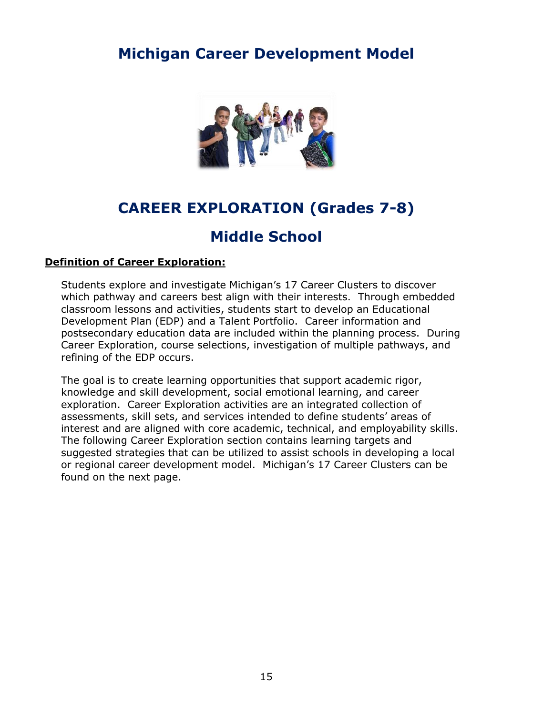

## **CAREER EXPLORATION (Grades 7-8)**

## **Middle School**

#### <span id="page-14-0"></span>**Definition of Career Exploration:**

Students explore and investigate Michigan's 17 Career Clusters to discover which pathway and careers best align with their interests. Through embedded classroom lessons and activities, students start to develop an Educational Development Plan (EDP) and a Talent Portfolio. Career information and postsecondary education data are included within the planning process. During Career Exploration, course selections, investigation of multiple pathways, and refining of the EDP occurs.

The goal is to create learning opportunities that support academic rigor, knowledge and skill development, social emotional learning, and career exploration. Career Exploration activities are an integrated collection of assessments, skill sets, and services intended to define students' areas of interest and are aligned with core academic, technical, and employability skills. The following Career Exploration section contains learning targets and suggested strategies that can be utilized to assist schools in developing a local or regional career development model. Michigan's 17 Career Clusters can be found on the next page.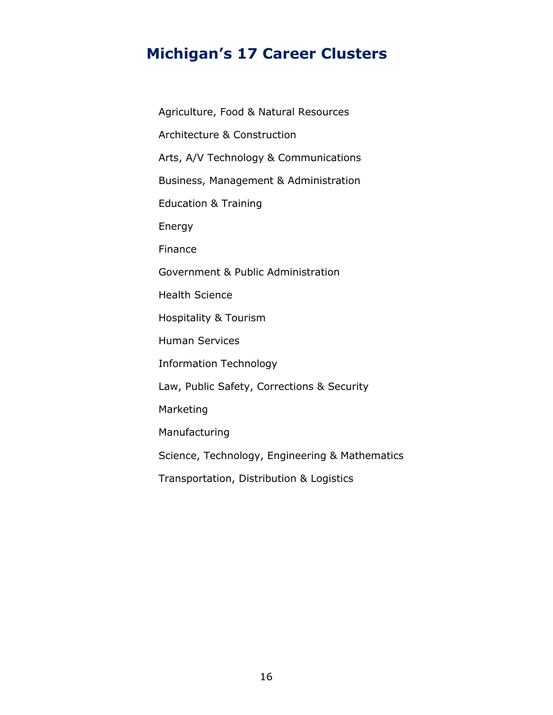## <span id="page-15-0"></span>**Michigan's 17 Career Clusters**

Agriculture, Food & Natural Resources Architecture & Construction Arts, A/V Technology & Communications Business, Management & Administration Education & Training Energy Finance Government & Public Administration Health Science Hospitality & Tourism Human Services Information Technology Law, Public Safety, Corrections & Security Marketing Manufacturing Science, Technology, Engineering & Mathematics Transportation, Distribution & Logistics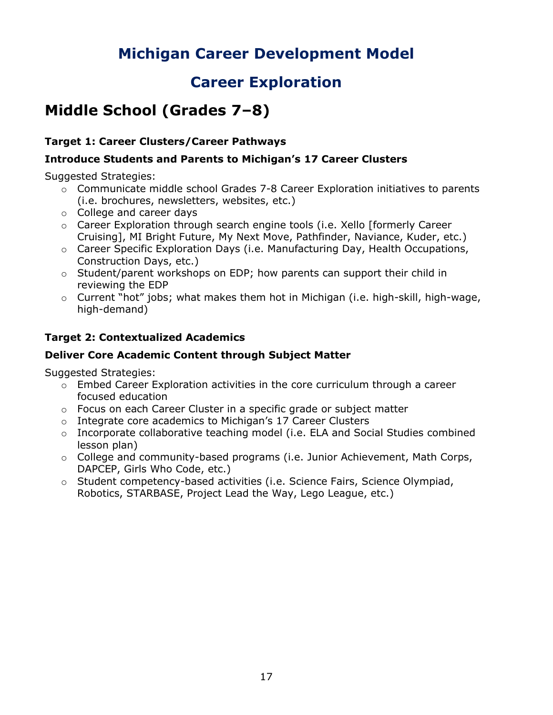## **Career Exploration**

## <span id="page-16-0"></span>**Middle School (Grades 7–8)**

## <span id="page-16-1"></span>**Target 1: Career Clusters/Career Pathways**

## **Introduce Students and Parents to Michigan's 17 Career Clusters**

Suggested Strategies:

- o Communicate middle school Grades 7-8 Career Exploration initiatives to parents (i.e. brochures, newsletters, websites, etc.)
- o College and career days
- o Career Exploration through search engine tools (i.e. Xello [formerly Career Cruising], MI Bright Future, My Next Move, Pathfinder, Naviance, Kuder, etc.)
- o Career Specific Exploration Days (i.e. Manufacturing Day, Health Occupations, Construction Days, etc.)
- o Student/parent workshops on EDP; how parents can support their child in reviewing the EDP
- o Current "hot" jobs; what makes them hot in Michigan (i.e. high-skill, high-wage, high-demand)

## <span id="page-16-2"></span>**Target 2: Contextualized Academics**

## **Deliver Core Academic Content through Subject Matter**

- $\circ$  Embed Career Exploration activities in the core curriculum through a career focused education
- $\circ$  Focus on each Career Cluster in a specific grade or subject matter
- o Integrate core academics to Michigan's 17 Career Clusters
- o Incorporate collaborative teaching model (i.e. ELA and Social Studies combined lesson plan)
- o College and community-based programs (i.e. Junior Achievement, Math Corps, DAPCEP, Girls Who Code, etc.)
- o Student competency-based activities (i.e. Science Fairs, Science Olympiad, Robotics, STARBASE, Project Lead the Way, Lego League, etc.)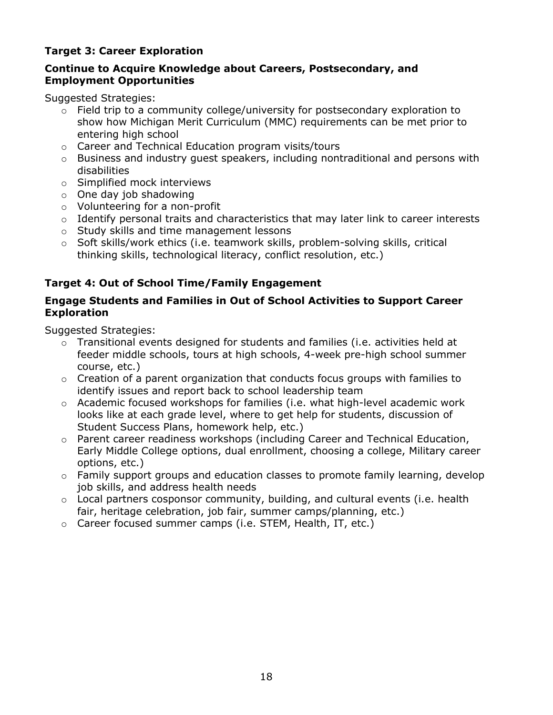## <span id="page-17-0"></span>**Target 3: Career Exploration**

### **Continue to Acquire Knowledge about Careers, Postsecondary, and Employment Opportunities**

Suggested Strategies:

- $\circ$  Field trip to a community college/university for postsecondary exploration to show how Michigan Merit Curriculum (MMC) requirements can be met prior to entering high school
- o Career and Technical Education program visits/tours
- $\circ$  Business and industry quest speakers, including nontraditional and persons with disabilities
- o Simplified mock interviews
- $\circ$  One day job shadowing
- o Volunteering for a non-profit
- o Identify personal traits and characteristics that may later link to career interests
- o Study skills and time management lessons
- o Soft skills/work ethics (i.e. teamwork skills, problem-solving skills, critical thinking skills, technological literacy, conflict resolution, etc.)

### <span id="page-17-1"></span>**Target 4: Out of School Time/Family Engagement**

### **Engage Students and Families in Out of School Activities to Support Career Exploration**

- o Transitional events designed for students and families (i.e. activities held at feeder middle schools, tours at high schools, 4-week pre-high school summer course, etc.)
- $\circ$  Creation of a parent organization that conducts focus groups with families to identify issues and report back to school leadership team
- $\circ$  Academic focused workshops for families (i.e. what high-level academic work looks like at each grade level, where to get help for students, discussion of Student Success Plans, homework help, etc.)
- o Parent career readiness workshops (including Career and Technical Education, Early Middle College options, dual enrollment, choosing a college, Military career options, etc.)
- $\circ$  Family support groups and education classes to promote family learning, develop job skills, and address health needs
- $\circ$  Local partners cosponsor community, building, and cultural events (i.e. health fair, heritage celebration, job fair, summer camps/planning, etc.)
- o Career focused summer camps (i.e. STEM, Health, IT, etc.)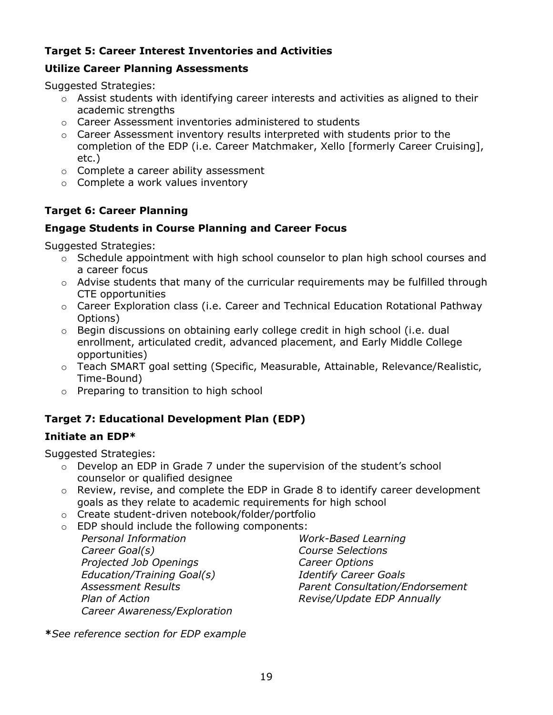## <span id="page-18-0"></span>**Target 5: Career Interest Inventories and Activities**

### **Utilize Career Planning Assessments**

Suggested Strategies:

- $\circ$  Assist students with identifying career interests and activities as aligned to their academic strengths
- o Career Assessment inventories administered to students
- o Career Assessment inventory results interpreted with students prior to the completion of the EDP (i.e. Career Matchmaker, Xello [formerly Career Cruising], etc.)
- o Complete a career ability assessment
- o Complete a work values inventory

## <span id="page-18-1"></span>**Target 6: Career Planning**

### **Engage Students in Course Planning and Career Focus**

Suggested Strategies:

- o Schedule appointment with high school counselor to plan high school courses and a career focus
- o Advise students that many of the curricular requirements may be fulfilled through CTE opportunities
- $\circ$  Career Exploration class (i.e. Career and Technical Education Rotational Pathway Options)
- $\circ$  Begin discussions on obtaining early college credit in high school (i.e. dual enrollment, articulated credit, advanced placement, and Early Middle College opportunities)
- o Teach SMART goal setting (Specific, Measurable, Attainable, Relevance/Realistic, Time-Bound)
- o Preparing to transition to high school

## <span id="page-18-2"></span>**Target 7: Educational Development Plan (EDP)**

## **Initiate an EDP\***

Suggested Strategies:

- $\circ$  Develop an EDP in Grade 7 under the supervision of the student's school counselor or qualified designee
- $\circ$  Review, revise, and complete the EDP in Grade 8 to identify career development goals as they relate to academic requirements for high school
- o Create student-driven notebook/folder/portfolio
- o EDP should include the following components:
	- *Personal Information Career Goal(s) Projected Job Openings Education/Training Goal(s) Assessment Results Plan of Action Career Awareness/Exploration*

*Work-Based Learning Course Selections Career Options Identify Career Goals Parent Consultation/Endorsement Revise/Update EDP Annually* 

**\****See reference section for EDP example*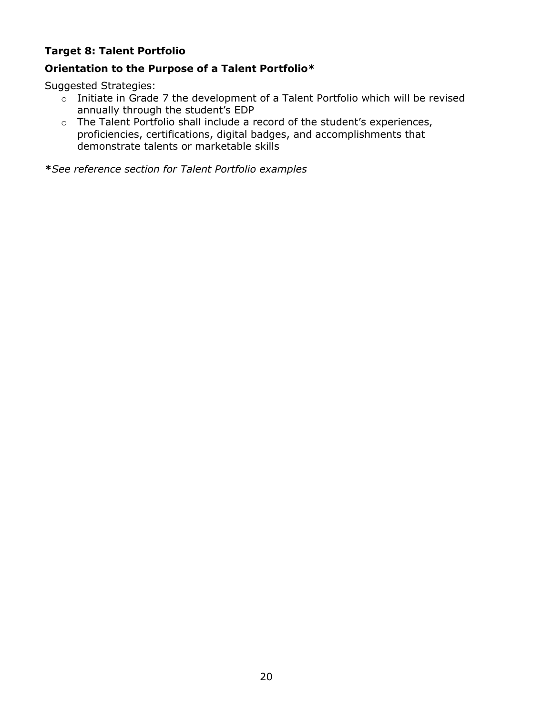## <span id="page-19-0"></span>**Target 8: Talent Portfolio**

## **Orientation to the Purpose of a Talent Portfolio\***

Suggested Strategies:

- o Initiate in Grade 7 the development of a Talent Portfolio which will be revised annually through the student's EDP
- o The Talent Portfolio shall include a record of the student's experiences, proficiencies, certifications, digital badges, and accomplishments that demonstrate talents or marketable skills

**\****See reference section for Talent Portfolio examples*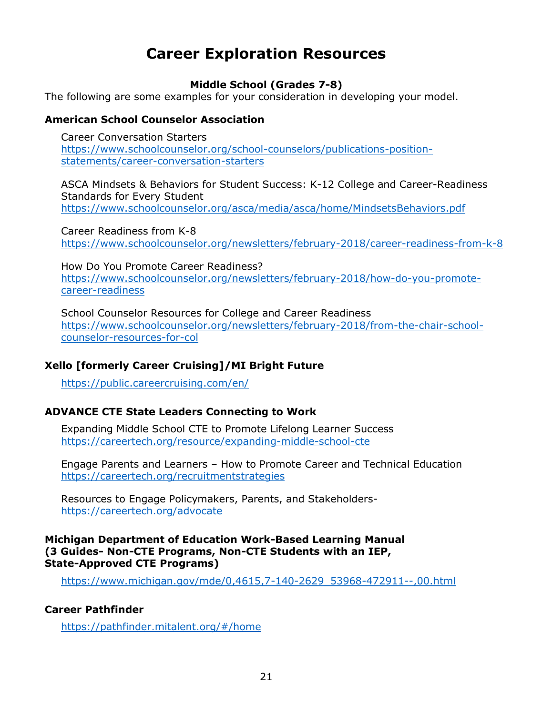## **Career Exploration Resources**

### **Middle School (Grades 7-8)**

<span id="page-20-0"></span>The following are some examples for your consideration in developing your model.

#### **American School Counselor Association**

Career Conversation Starters [https://www.schoolcounselor.org/school-counselors/publications-position](https://www.schoolcounselor.org/school-counselors/publications-position-statements/career-conversation-starters)[statements/career-conversation-starters](https://www.schoolcounselor.org/school-counselors/publications-position-statements/career-conversation-starters)

ASCA Mindsets & Behaviors for Student Success: K-12 College and Career-Readiness Standards for Every Student <https://www.schoolcounselor.org/asca/media/asca/home/MindsetsBehaviors.pdf>

Career Readiness from K-8 <https://www.schoolcounselor.org/newsletters/february-2018/career-readiness-from-k-8>

How Do You Promote Career Readiness? [https://www.schoolcounselor.org/newsletters/february-2018/how-do-you-promote](https://www.schoolcounselor.org/newsletters/february-2018/how-do-you-promote-career-readiness)[career-readiness](https://www.schoolcounselor.org/newsletters/february-2018/how-do-you-promote-career-readiness)

School Counselor Resources for College and Career Readiness [https://www.schoolcounselor.org/newsletters/february-2018/from-the-chair-school](https://www.schoolcounselor.org/newsletters/february-2018/from-the-chair-school-counselor-resources-for-col)[counselor-resources-for-col](https://www.schoolcounselor.org/newsletters/february-2018/from-the-chair-school-counselor-resources-for-col)

#### **Xello [formerly Career Cruising]/MI Bright Future**

<https://public.careercruising.com/en/>

#### **ADVANCE CTE State Leaders Connecting to Work**

Expanding Middle School CTE to Promote Lifelong Learner Success <https://careertech.org/resource/expanding-middle-school-cte>

Engage Parents and Learners – How to Promote Career and Technical Education <https://careertech.org/recruitmentstrategies>

Resources to Engage Policymakers, Parents, and Stakeholders<https://careertech.org/advocate>

#### **Michigan Department of Education Work-Based Learning Manual (3 Guides- Non-CTE Programs, Non-CTE Students with an IEP, State-Approved CTE Programs)**

[https://www.michigan.gov/mde/0,4615,7-140-2629\\_53968-472911--,00.html](https://www.michigan.gov/mde/0,4615,7-140-2629_53968-472911--,00.html)

#### **Career Pathfinder**

<https://pathfinder.mitalent.org/#/home>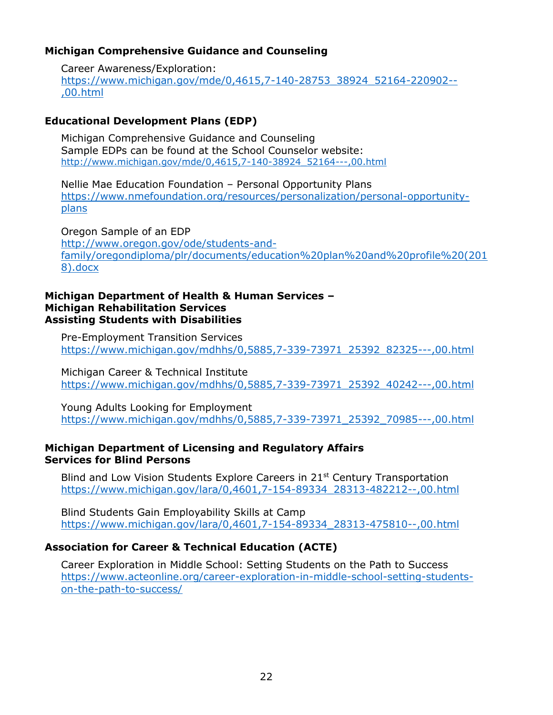#### **Michigan Comprehensive Guidance and Counseling**

Career Awareness/Exploration: [https://www.michigan.gov/mde/0,4615,7-140-28753\\_38924\\_52164-220902--](https://www.michigan.gov/mde/0,4615,7-140-28753_38924_52164-220902--,00.html) [,00.html](https://www.michigan.gov/mde/0,4615,7-140-28753_38924_52164-220902--,00.html)

### **Educational Development Plans (EDP)**

Michigan Comprehensive Guidance and Counseling Sample EDPs can be found at the School Counselor website: [http://www.michigan.gov/mde/0,4615,7-140-38924\\_52164---,00.html](http://www.michigan.gov/mde/0,4615,7-140-38924_52164---,00.html)

Nellie Mae Education Foundation – Personal Opportunity Plans [https://www.nmefoundation.org/resources/personalization/personal-opportunity](https://www.nmefoundation.org/resources/personalization/personal-opportunity-plans)[plans](https://www.nmefoundation.org/resources/personalization/personal-opportunity-plans)

Oregon Sample of an EDP [http://www.oregon.gov/ode/students-and](https://na01.safelinks.protection.outlook.com/?url=http%3A%2F%2Fwww.oregon.gov%2Fode%2Fstudents-and-family%2Foregondiploma%2Fplr%2Fdocuments%2Feducation%2520plan%2520and%2520profile%2520(2018).docx&data=02%7C01%7CHughesD9%40michigan.gov%7C94a7ae56820a4a9e7c0a08d63b6f2b2e%7Cd5fb7087377742ad966a892ef47225d1%7C0%7C0%7C636761745974877840&sdata=xhHjBlGWy2DLF3k5nVUSI4jh1OgKV7jo4Kze7F4FI7U%3D&reserved=0)[family/oregondiploma/plr/documents/education%20plan%20and%20profile%20\(201](https://na01.safelinks.protection.outlook.com/?url=http%3A%2F%2Fwww.oregon.gov%2Fode%2Fstudents-and-family%2Foregondiploma%2Fplr%2Fdocuments%2Feducation%2520plan%2520and%2520profile%2520(2018).docx&data=02%7C01%7CHughesD9%40michigan.gov%7C94a7ae56820a4a9e7c0a08d63b6f2b2e%7Cd5fb7087377742ad966a892ef47225d1%7C0%7C0%7C636761745974877840&sdata=xhHjBlGWy2DLF3k5nVUSI4jh1OgKV7jo4Kze7F4FI7U%3D&reserved=0) [8\).docx](https://na01.safelinks.protection.outlook.com/?url=http%3A%2F%2Fwww.oregon.gov%2Fode%2Fstudents-and-family%2Foregondiploma%2Fplr%2Fdocuments%2Feducation%2520plan%2520and%2520profile%2520(2018).docx&data=02%7C01%7CHughesD9%40michigan.gov%7C94a7ae56820a4a9e7c0a08d63b6f2b2e%7Cd5fb7087377742ad966a892ef47225d1%7C0%7C0%7C636761745974877840&sdata=xhHjBlGWy2DLF3k5nVUSI4jh1OgKV7jo4Kze7F4FI7U%3D&reserved=0)

#### **Michigan Department of Health & Human Services – Michigan Rehabilitation Services Assisting Students with Disabilities**

Pre-Employment Transition Services [https://www.michigan.gov/mdhhs/0,5885,7-339-73971\\_25392\\_82325---,00.html](https://www.michigan.gov/mdhhs/0,5885,7-339-73971_25392_82325---,00.html)

Michigan Career & Technical Institute [https://www.michigan.gov/mdhhs/0,5885,7-339-73971\\_25392\\_40242---,00.html](https://www.michigan.gov/mdhhs/0,5885,7-339-73971_25392_40242---,00.html)

Young Adults Looking for Employment [https://www.michigan.gov/mdhhs/0,5885,7-339-73971\\_25392\\_70985---,00.html](https://www.michigan.gov/mdhhs/0,5885,7-339-73971_25392_70985---,00.html)

#### **Michigan Department of Licensing and Regulatory Affairs Services for Blind Persons**

Blind and Low Vision Students Explore Careers in 21<sup>st</sup> Century Transportation [https://www.michigan.gov/lara/0,4601,7-154-89334\\_28313-482212--,00.html](https://www.michigan.gov/lara/0,4601,7-154-89334_28313-482212--,00.html)

Blind Students Gain Employability Skills at Camp [https://www.michigan.gov/lara/0,4601,7-154-89334\\_28313-475810--,00.html](https://www.michigan.gov/lara/0,4601,7-154-89334_28313-475810--,00.html)

## **Association for Career & Technical Education (ACTE)**

Career Exploration in Middle School: Setting Students on the Path to Success [https://www.acteonline.org/career-exploration-in-middle-school-setting-students](https://www.acteonline.org/career-exploration-in-middle-school-setting-students-on-the-path-to-success/)[on-the-path-to-success/](https://www.acteonline.org/career-exploration-in-middle-school-setting-students-on-the-path-to-success/)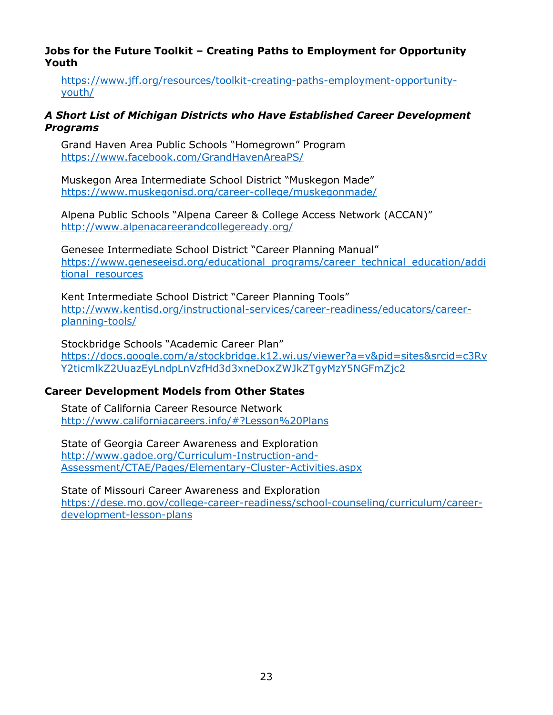#### **Jobs for the Future Toolkit – Creating Paths to Employment for Opportunity Youth**

[https://www.jff.org/resources/toolkit-creating-paths-employment-opportunity](https://www.jff.org/resources/toolkit-creating-paths-employment-opportunity-youth/)[youth/](https://www.jff.org/resources/toolkit-creating-paths-employment-opportunity-youth/)

#### *A Short List of Michigan Districts who Have Established Career Development Programs*

Grand Haven Area Public Schools "Homegrown" Program <https://www.facebook.com/GrandHavenAreaPS/>

Muskegon Area Intermediate School District "Muskegon Made" <https://www.muskegonisd.org/career-college/muskegonmade/>

Alpena Public Schools "Alpena Career & College Access Network (ACCAN)" <http://www.alpenacareerandcollegeready.org/>

Genesee Intermediate School District "Career Planning Manual" [https://www.geneseeisd.org/educational\\_programs/career\\_technical\\_education/addi](https://www.geneseeisd.org/educational_programs/career_technical_education/additional_resources) tional resources

Kent Intermediate School District "Career Planning Tools" [http://www.kentisd.org/instructional-services/career-readiness/educators/career](http://www.kentisd.org/instructional-services/career-readiness/educators/career-planning-tools/)[planning-tools/](http://www.kentisd.org/instructional-services/career-readiness/educators/career-planning-tools/)

Stockbridge Schools "Academic Career Plan" [https://docs.google.com/a/stockbridge.k12.wi.us/viewer?a=v&pid=sites&srcid=c3Rv](https://docs.google.com/a/stockbridge.k12.wi.us/viewer?a=v&pid=sites&srcid=c3RvY2ticmlkZ2UuazEyLndpLnVzfHd3d3xneDoxZWJkZTgyMzY5NGFmZjc2) [Y2ticmlkZ2UuazEyLndpLnVzfHd3d3xneDoxZWJkZTgyMzY5NGFmZjc2](https://docs.google.com/a/stockbridge.k12.wi.us/viewer?a=v&pid=sites&srcid=c3RvY2ticmlkZ2UuazEyLndpLnVzfHd3d3xneDoxZWJkZTgyMzY5NGFmZjc2)

#### **Career Development Models from Other States**

State of California Career Resource Network <http://www.californiacareers.info/#?Lesson%20Plans>

State of Georgia Career Awareness and Exploration [http://www.gadoe.org/Curriculum-Instruction-and-](http://www.gadoe.org/Curriculum-Instruction-and-Assessment/CTAE/Pages/Elementary-Cluster-Activities.aspx)[Assessment/CTAE/Pages/Elementary-Cluster-Activities.aspx](http://www.gadoe.org/Curriculum-Instruction-and-Assessment/CTAE/Pages/Elementary-Cluster-Activities.aspx)

State of Missouri Career Awareness and Exploration [https://dese.mo.gov/college-career-readiness/school-counseling/curriculum/career](https://dese.mo.gov/college-career-readiness/school-counseling/curriculum/career-development-lesson-plans)[development-lesson-plans](https://dese.mo.gov/college-career-readiness/school-counseling/curriculum/career-development-lesson-plans)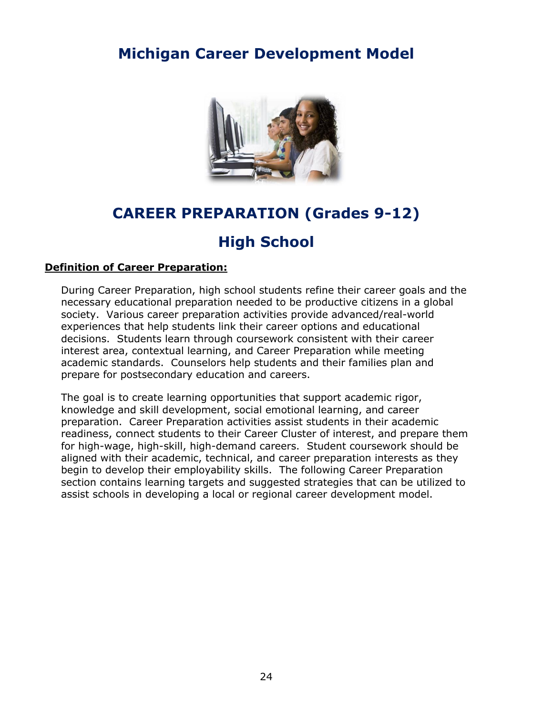

## **CAREER PREPARATION (Grades 9-12)**

## **High School**

### <span id="page-23-0"></span>**Definition of Career Preparation:**

During Career Preparation, high school students refine their career goals and the necessary educational preparation needed to be productive citizens in a global society. Various career preparation activities provide advanced/real-world experiences that help students link their career options and educational decisions. Students learn through coursework consistent with their career interest area, contextual learning, and Career Preparation while meeting academic standards. Counselors help students and their families plan and prepare for postsecondary education and careers.

The goal is to create learning opportunities that support academic rigor, knowledge and skill development, social emotional learning, and career preparation. Career Preparation activities assist students in their academic readiness, connect students to their Career Cluster of interest, and prepare them for high-wage, high-skill, high-demand careers. Student coursework should be aligned with their academic, technical, and career preparation interests as they begin to develop their employability skills. The following Career Preparation section contains learning targets and suggested strategies that can be utilized to assist schools in developing a local or regional career development model.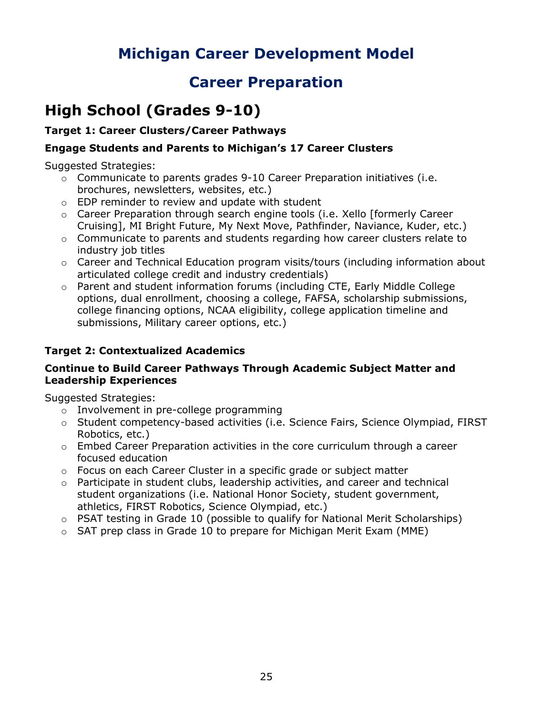## **Career Preparation**

## <span id="page-24-0"></span>**High School (Grades 9-10)**

## <span id="page-24-1"></span>**Target 1: Career Clusters/Career Pathways**

## **Engage Students and Parents to Michigan's 17 Career Clusters**

Suggested Strategies:

- $\circ$  Communicate to parents grades 9-10 Career Preparation initiatives (i.e. brochures, newsletters, websites, etc.)
- o EDP reminder to review and update with student
- o Career Preparation through search engine tools (i.e. Xello [formerly Career Cruising], MI Bright Future, My Next Move, Pathfinder, Naviance, Kuder, etc.)
- o Communicate to parents and students regarding how career clusters relate to industry job titles
- $\circ$  Career and Technical Education program visits/tours (including information about articulated college credit and industry credentials)
- o Parent and student information forums (including CTE, Early Middle College options, dual enrollment, choosing a college, FAFSA, scholarship submissions, college financing options, NCAA eligibility, college application timeline and submissions, Military career options, etc.)

## <span id="page-24-2"></span>**Target 2: Contextualized Academics**

### **Continue to Build Career Pathways Through Academic Subject Matter and Leadership Experiences**

- o Involvement in pre-college programming
- o Student competency-based activities (i.e. Science Fairs, Science Olympiad, FIRST Robotics, etc.)
- $\circ$  Embed Career Preparation activities in the core curriculum through a career focused education
- $\circ$  Focus on each Career Cluster in a specific grade or subject matter
- $\circ$  Participate in student clubs, leadership activities, and career and technical student organizations (i.e. National Honor Society, student government, athletics, FIRST Robotics, Science Olympiad, etc.)
- $\circ$  PSAT testing in Grade 10 (possible to qualify for National Merit Scholarships)
- $\circ$  SAT prep class in Grade 10 to prepare for Michigan Merit Exam (MME)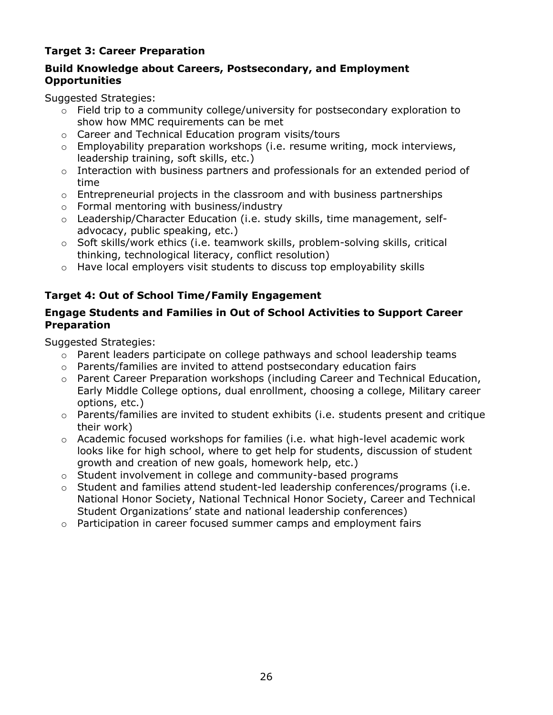## <span id="page-25-0"></span>**Target 3: Career Preparation**

## **Build Knowledge about Careers, Postsecondary, and Employment Opportunities**

Suggested Strategies:

- $\circ$  Field trip to a community college/university for postsecondary exploration to show how MMC requirements can be met
- o Career and Technical Education program visits/tours
- $\circ$  Employability preparation workshops (i.e. resume writing, mock interviews, leadership training, soft skills, etc.)
- o Interaction with business partners and professionals for an extended period of time
- $\circ$  Entrepreneurial projects in the classroom and with business partnerships
- o Formal mentoring with business/industry
- o Leadership/Character Education (i.e. study skills, time management, selfadvocacy, public speaking, etc.)
- o Soft skills/work ethics (i.e. teamwork skills, problem-solving skills, critical thinking, technological literacy, conflict resolution)
- $\circ$  Have local employers visit students to discuss top employability skills

## <span id="page-25-1"></span>**Target 4: Out of School Time/Family Engagement**

### **Engage Students and Families in Out of School Activities to Support Career Preparation**

- $\circ$  Parent leaders participate on college pathways and school leadership teams
- $\circ$  Parents/families are invited to attend postsecondary education fairs
- $\circ$  Parent Career Preparation workshops (including Career and Technical Education, Early Middle College options, dual enrollment, choosing a college, Military career options, etc.)
- $\circ$  Parents/families are invited to student exhibits (i.e. students present and critique their work)
- o Academic focused workshops for families (i.e. what high-level academic work looks like for high school, where to get help for students, discussion of student growth and creation of new goals, homework help, etc.)
- o Student involvement in college and community-based programs
- o Student and families attend student-led leadership conferences/programs (i.e. National Honor Society, National Technical Honor Society, Career and Technical Student Organizations' state and national leadership conferences)
- o Participation in career focused summer camps and employment fairs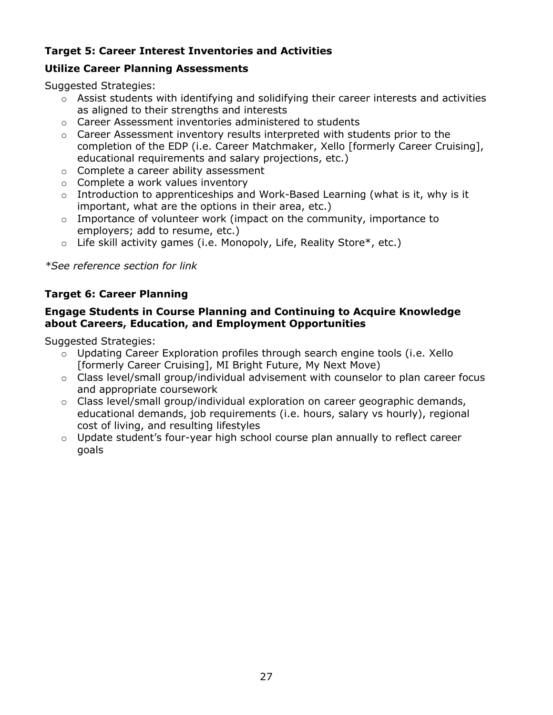## <span id="page-26-0"></span>**Target 5: Career Interest Inventories and Activities**

### **Utilize Career Planning Assessments**

Suggested Strategies:

- o Assist students with identifying and solidifying their career interests and activities as aligned to their strengths and interests
- o Career Assessment inventories administered to students
- o Career Assessment inventory results interpreted with students prior to the completion of the EDP (i.e. Career Matchmaker, Xello [formerly Career Cruising], educational requirements and salary projections, etc.)
- o Complete a career ability assessment
- o Complete a work values inventory
- $\circ$  Introduction to apprenticeships and Work-Based Learning (what is it, why is it important, what are the options in their area, etc.)
- o Importance of volunteer work (impact on the community, importance to employers; add to resume, etc.)
- $\circ$  Life skill activity games (i.e. Monopoly, Life, Reality Store\*, etc.)

*\*See reference section for link*

## <span id="page-26-1"></span>**Target 6: Career Planning**

#### **Engage Students in Course Planning and Continuing to Acquire Knowledge about Careers, Education, and Employment Opportunities**

- $\circ$  Updating Career Exploration profiles through search engine tools (i.e. Xello [formerly Career Cruising], MI Bright Future, My Next Move)
- o Class level/small group/individual advisement with counselor to plan career focus and appropriate coursework
- $\circ$  Class level/small group/individual exploration on career geographic demands, educational demands, job requirements (i.e. hours, salary vs hourly), regional cost of living, and resulting lifestyles
- o Update student's four-year high school course plan annually to reflect career goals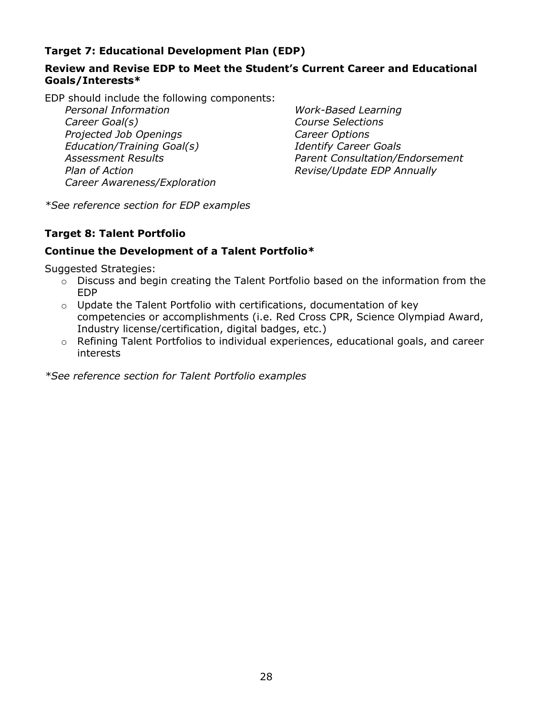## <span id="page-27-0"></span>**Target 7: Educational Development Plan (EDP)**

### **Review and Revise EDP to Meet the Student's Current Career and Educational Goals/Interests\***

EDP should include the following components:

*Personal Information Career Goal(s) Projected Job Openings Education/Training Goal(s) Assessment Results Plan of Action Career Awareness/Exploration*

*Work-Based Learning Course Selections Career Options Identify Career Goals Parent Consultation/Endorsement Revise/Update EDP Annually*

*\*See reference section for EDP examples*

#### <span id="page-27-1"></span>**Target 8: Talent Portfolio**

### **Continue the Development of a Talent Portfolio\***

Suggested Strategies:

- o Discuss and begin creating the Talent Portfolio based on the information from the EDP
- $\circ$  Update the Talent Portfolio with certifications, documentation of key competencies or accomplishments (i.e. Red Cross CPR, Science Olympiad Award, Industry license/certification, digital badges, etc.)
- o Refining Talent Portfolios to individual experiences, educational goals, and career interests

*\*See reference section for Talent Portfolio examples*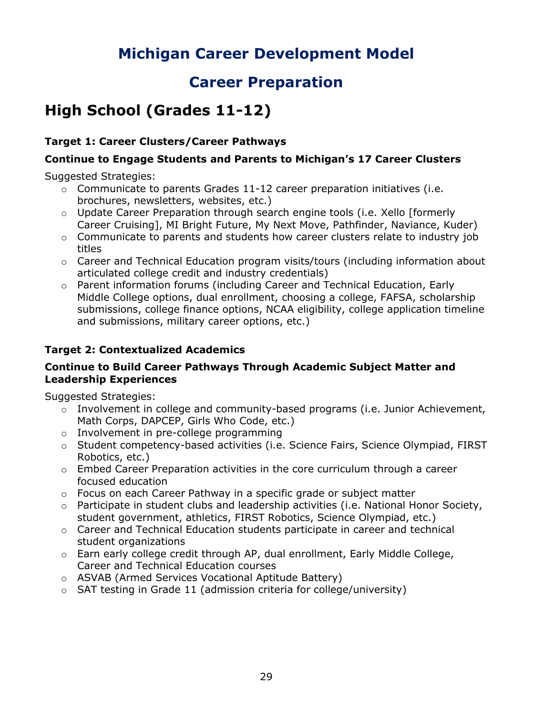## **Career Preparation**

## <span id="page-28-0"></span>**High School (Grades 11-12)**

## <span id="page-28-1"></span>**Target 1: Career Clusters/Career Pathways**

### **Continue to Engage Students and Parents to Michigan's 17 Career Clusters**

Suggested Strategies:

- $\circ$  Communicate to parents Grades 11-12 career preparation initiatives (i.e. brochures, newsletters, websites, etc.)
- $\circ$  Update Career Preparation through search engine tools (i.e. Xello [formerly Career Cruising], MI Bright Future, My Next Move, Pathfinder, Naviance, Kuder)
- $\circ$  Communicate to parents and students how career clusters relate to industry job titles
- $\circ$  Career and Technical Education program visits/tours (including information about articulated college credit and industry credentials)
- $\circ$  Parent information forums (including Career and Technical Education, Early Middle College options, dual enrollment, choosing a college, FAFSA, scholarship submissions, college finance options, NCAA eligibility, college application timeline and submissions, military career options, etc.)

## <span id="page-28-2"></span>**Target 2: Contextualized Academics**

#### **Continue to Build Career Pathways Through Academic Subject Matter and Leadership Experiences**

- o Involvement in college and community-based programs (i.e. Junior Achievement, Math Corps, DAPCEP, Girls Who Code, etc.)
- o Involvement in pre-college programming
- o Student competency-based activities (i.e. Science Fairs, Science Olympiad, FIRST Robotics, etc.)
- $\circ$  Embed Career Preparation activities in the core curriculum through a career focused education
- $\circ$  Focus on each Career Pathway in a specific grade or subject matter
- $\circ$  Participate in student clubs and leadership activities (i.e. National Honor Society, student government, athletics, FIRST Robotics, Science Olympiad, etc.)
- o Career and Technical Education students participate in career and technical student organizations
- $\circ$  Earn early college credit through AP, dual enrollment, Early Middle College, Career and Technical Education courses
- o ASVAB (Armed Services Vocational Aptitude Battery)
- o SAT testing in Grade 11 (admission criteria for college/university)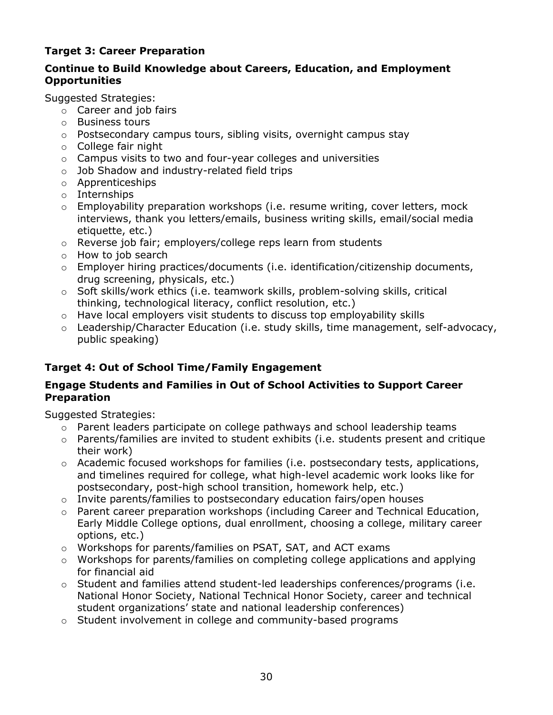## <span id="page-29-0"></span>**Target 3: Career Preparation**

### **Continue to Build Knowledge about Careers, Education, and Employment Opportunities**

Suggested Strategies:

- $\circ$  Career and job fairs
- o Business tours
- o Postsecondary campus tours, sibling visits, overnight campus stay
- o College fair night
- o Campus visits to two and four-year colleges and universities
- o Job Shadow and industry-related field trips
- o Apprenticeships
- o Internships
- $\circ$  Employability preparation workshops (i.e. resume writing, cover letters, mock interviews, thank you letters/emails, business writing skills, email/social media etiquette, etc.)
- o Reverse job fair; employers/college reps learn from students
- $\circ$  How to job search
- $\circ$  Employer hiring practices/documents (i.e. identification/citizenship documents, drug screening, physicals, etc.)
- o Soft skills/work ethics (i.e. teamwork skills, problem-solving skills, critical thinking, technological literacy, conflict resolution, etc.)
- $\circ$  Have local employers visit students to discuss top employability skills
- o Leadership/Character Education (i.e. study skills, time management, self-advocacy, public speaking)

## <span id="page-29-1"></span>**Target 4: Out of School Time/Family Engagement**

### **Engage Students and Families in Out of School Activities to Support Career Preparation**

- o Parent leaders participate on college pathways and school leadership teams
- $\circ$  Parents/families are invited to student exhibits (i.e. students present and critique their work)
- $\circ$  Academic focused workshops for families (i.e. postsecondary tests, applications, and timelines required for college, what high-level academic work looks like for postsecondary, post-high school transition, homework help, etc.)
- $\circ$  Invite parents/families to postsecondary education fairs/open houses
- o Parent career preparation workshops (including Career and Technical Education, Early Middle College options, dual enrollment, choosing a college, military career options, etc.)
- o Workshops for parents/families on PSAT, SAT, and ACT exams
- $\circ$  Workshops for parents/families on completing college applications and applying for financial aid
- $\circ$  Student and families attend student-led leaderships conferences/programs (i.e. National Honor Society, National Technical Honor Society, career and technical student organizations' state and national leadership conferences)
- o Student involvement in college and community-based programs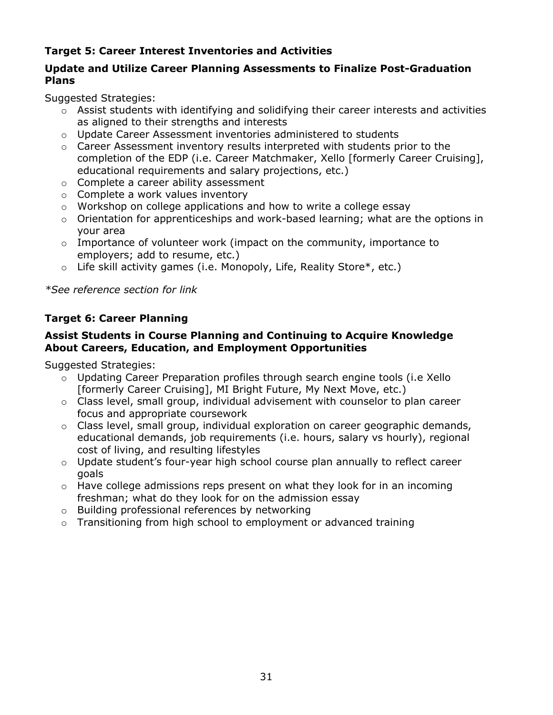## <span id="page-30-0"></span>**Target 5: Career Interest Inventories and Activities**

### **Update and Utilize Career Planning Assessments to Finalize Post-Graduation Plans**

Suggested Strategies:

- $\circ$  Assist students with identifying and solidifying their career interests and activities as aligned to their strengths and interests
- o Update Career Assessment inventories administered to students
- $\circ$  Career Assessment inventory results interpreted with students prior to the completion of the EDP (i.e. Career Matchmaker, Xello [formerly Career Cruising], educational requirements and salary projections, etc.)
- o Complete a career ability assessment
- o Complete a work values inventory
- o Workshop on college applications and how to write a college essay
- o Orientation for apprenticeships and work-based learning; what are the options in your area
- $\circ$  Importance of volunteer work (impact on the community, importance to employers; add to resume, etc.)
- $\circ$  Life skill activity games (i.e. Monopoly, Life, Reality Store\*, etc.)

*\*See reference section for link*

### <span id="page-30-1"></span>**Target 6: Career Planning**

#### **Assist Students in Course Planning and Continuing to Acquire Knowledge About Careers, Education, and Employment Opportunities**

- o Updating Career Preparation profiles through search engine tools (i.e Xello [formerly Career Cruising], MI Bright Future, My Next Move, etc.)
- o Class level, small group, individual advisement with counselor to plan career focus and appropriate coursework
- $\circ$  Class level, small group, individual exploration on career geographic demands, educational demands, job requirements (i.e. hours, salary vs hourly), regional cost of living, and resulting lifestyles
- o Update student's four-year high school course plan annually to reflect career goals
- o Have college admissions reps present on what they look for in an incoming freshman; what do they look for on the admission essay
- o Building professional references by networking
- $\circ$  Transitioning from high school to employment or advanced training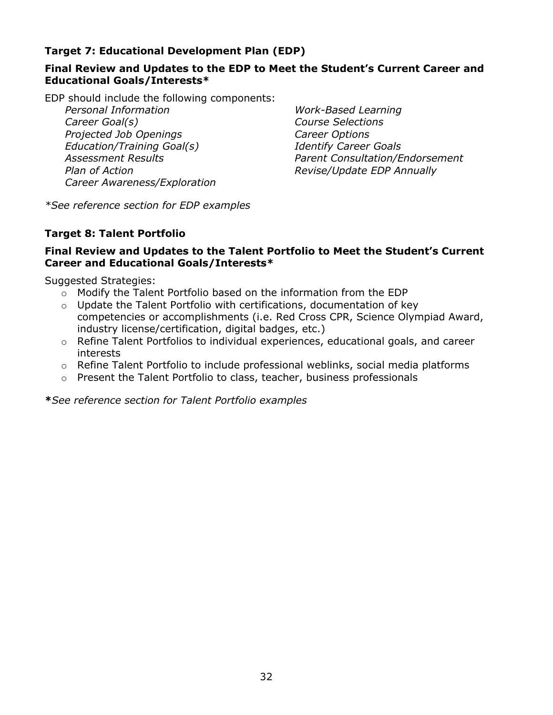### <span id="page-31-0"></span>**Target 7: Educational Development Plan (EDP)**

### **Final Review and Updates to the EDP to Meet the Student's Current Career and Educational Goals/Interests\***

EDP should include the following components:

*Personal Information Career Goal(s) Projected Job Openings Education/Training Goal(s) Assessment Results Plan of Action Career Awareness/Exploration*

*Work-Based Learning Course Selections Career Options Identify Career Goals Parent Consultation/Endorsement Revise/Update EDP Annually*

*\*See reference section for EDP examples*

### <span id="page-31-1"></span>**Target 8: Talent Portfolio**

### **Final Review and Updates to the Talent Portfolio to Meet the Student's Current Career and Educational Goals/Interests\***

Suggested Strategies:

- o Modify the Talent Portfolio based on the information from the EDP
- $\circ$  Update the Talent Portfolio with certifications, documentation of key competencies or accomplishments (i.e. Red Cross CPR, Science Olympiad Award, industry license/certification, digital badges, etc.)
- $\circ$  Refine Talent Portfolios to individual experiences, educational goals, and career interests
- $\circ$  Refine Talent Portfolio to include professional weblinks, social media platforms
- o Present the Talent Portfolio to class, teacher, business professionals

**\****See reference section for Talent Portfolio examples*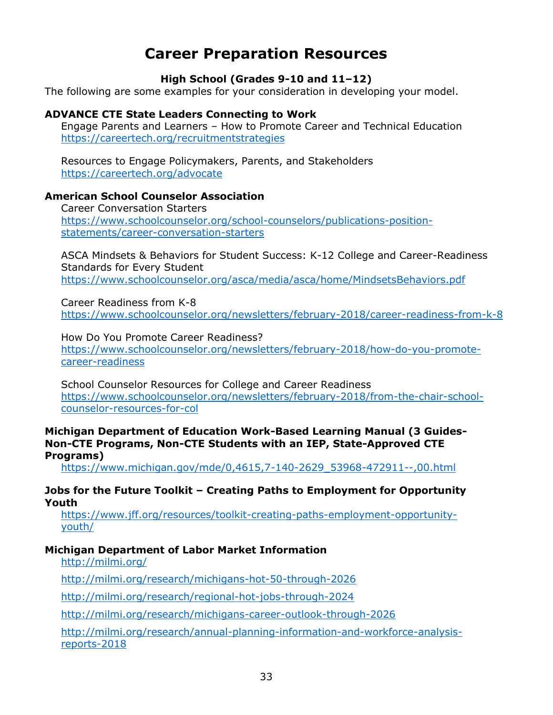## **Career Preparation Resources**

### **High School (Grades 9-10 and 11–12)**

<span id="page-32-0"></span>The following are some examples for your consideration in developing your model.

### **ADVANCE CTE State Leaders Connecting to Work**

Engage Parents and Learners – How to Promote Career and Technical Education <https://careertech.org/recruitmentstrategies>

Resources to Engage Policymakers, Parents, and Stakeholders <https://careertech.org/advocate>

#### **American School Counselor Association**

Career Conversation Starters [https://www.schoolcounselor.org/school-counselors/publications-position](https://www.schoolcounselor.org/school-counselors/publications-position-statements/career-conversation-starters)[statements/career-conversation-starters](https://www.schoolcounselor.org/school-counselors/publications-position-statements/career-conversation-starters)

ASCA Mindsets & Behaviors for Student Success: K-12 College and Career-Readiness Standards for Every Student <https://www.schoolcounselor.org/asca/media/asca/home/MindsetsBehaviors.pdf>

Career Readiness from K-8

<https://www.schoolcounselor.org/newsletters/february-2018/career-readiness-from-k-8>

How Do You Promote Career Readiness?

[https://www.schoolcounselor.org/newsletters/february-2018/how-do-you-promote](https://www.schoolcounselor.org/newsletters/february-2018/how-do-you-promote-career-readiness)[career-readiness](https://www.schoolcounselor.org/newsletters/february-2018/how-do-you-promote-career-readiness)

School Counselor Resources for College and Career Readiness [https://www.schoolcounselor.org/newsletters/february-2018/from-the-chair-school](https://www.schoolcounselor.org/newsletters/february-2018/from-the-chair-school-counselor-resources-for-col)[counselor-resources-for-col](https://www.schoolcounselor.org/newsletters/february-2018/from-the-chair-school-counselor-resources-for-col)

**Michigan Department of Education Work-Based Learning Manual (3 Guides-Non-CTE Programs, Non-CTE Students with an IEP, State-Approved CTE Programs)**

[https://www.michigan.gov/mde/0,4615,7-140-2629\\_53968-472911--,00.html](https://www.michigan.gov/mde/0,4615,7-140-2629_53968-472911--,00.html)

#### **Jobs for the Future Toolkit – Creating Paths to Employment for Opportunity Youth**

[https://www.jff.org/resources/toolkit-creating-paths-employment-opportunity](https://www.jff.org/resources/toolkit-creating-paths-employment-opportunity-youth/)[youth/](https://www.jff.org/resources/toolkit-creating-paths-employment-opportunity-youth/)

#### **Michigan Department of Labor Market Information**

<http://milmi.org/>

[http://milmi.org/research/michigans-hot-50-through-2026](https://na01.safelinks.protection.outlook.com/?url=http%3A%2F%2Fmilmi.org%2Fresearch%2Fmichigans-hot-50-through-2026&data=02%7C01%7CSeigelL%40michigan.gov%7C1cbefc5f44c040a6076308d65fa0d842%7Cd5fb7087377742ad966a892ef47225d1%7C0%7C0%7C636801541760672636&sdata=dBRTdk8uODvyJXgkxbLwjm1rDyMGtveLXOc7mnEIKsU%3D&reserved=0)

[http://milmi.org/research/regional-hot-jobs-through-2024](https://na01.safelinks.protection.outlook.com/?url=http%3A%2F%2Fmilmi.org%2Fresearch%2Fregional-hot-jobs-through-2024&data=02%7C01%7CSeigelL%40michigan.gov%7C1cbefc5f44c040a6076308d65fa0d842%7Cd5fb7087377742ad966a892ef47225d1%7C0%7C0%7C636801541760672636&sdata=2xSVTDMloiRUU5pNuhdA1r5ma%2B5Y3wNot%2FWpdSx9Nbo%3D&reserved=0)

[http://milmi.org/research/michigans-career-outlook-through-2026](https://na01.safelinks.protection.outlook.com/?url=http%3A%2F%2Fmilmi.org%2Fresearch%2Fmichigans-career-outlook-through-2026&data=02%7C01%7CSeigelL%40michigan.gov%7C1cbefc5f44c040a6076308d65fa0d842%7Cd5fb7087377742ad966a892ef47225d1%7C0%7C0%7C636801541760682640&sdata=7iu%2BKmMQptHEqZLG6KSI33reCct4k1PoNeQVT4MHRDk%3D&reserved=0)

[http://milmi.org/research/annual-planning-information-and-workforce-analysis](https://na01.safelinks.protection.outlook.com/?url=http%3A%2F%2Fmilmi.org%2Fresearch%2Fannual-planning-information-and-workforce-analysis-reports-2018&data=02%7C01%7CSeigelL%40michigan.gov%7C1cbefc5f44c040a6076308d65fa0d842%7Cd5fb7087377742ad966a892ef47225d1%7C0%7C0%7C636801541760682640&sdata=D1x9X%2F5n%2F%2FSWDPwHtLd%2FLaQngGuxbcB2MdNzHTb4cIc%3D&reserved=0)[reports-2018](https://na01.safelinks.protection.outlook.com/?url=http%3A%2F%2Fmilmi.org%2Fresearch%2Fannual-planning-information-and-workforce-analysis-reports-2018&data=02%7C01%7CSeigelL%40michigan.gov%7C1cbefc5f44c040a6076308d65fa0d842%7Cd5fb7087377742ad966a892ef47225d1%7C0%7C0%7C636801541760682640&sdata=D1x9X%2F5n%2F%2FSWDPwHtLd%2FLaQngGuxbcB2MdNzHTb4cIc%3D&reserved=0)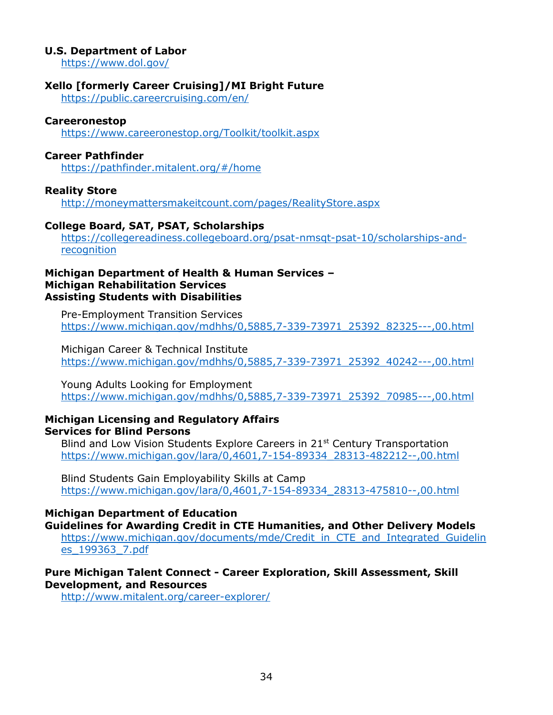#### **U.S. Department of Labor**

<https://www.dol.gov/>

#### **Xello [formerly Career Cruising]/MI Bright Future**

<https://public.careercruising.com/en/>

#### **Careeronestop**

<https://www.careeronestop.org/Toolkit/toolkit.aspx>

#### **Career Pathfinder**

<https://pathfinder.mitalent.org/#/home>

#### **Reality Store**

<http://moneymattersmakeitcount.com/pages/RealityStore.aspx>

#### **College Board, SAT, PSAT, Scholarships**

[https://collegereadiness.collegeboard.org/psat-nmsqt-psat-10/scholarships-and](https://collegereadiness.collegeboard.org/psat-nmsqt-psat-10/scholarships-and-recognition)[recognition](https://collegereadiness.collegeboard.org/psat-nmsqt-psat-10/scholarships-and-recognition)

#### **Michigan Department of Health & Human Services – Michigan Rehabilitation Services Assisting Students with Disabilities**

Pre-Employment Transition Services [https://www.michigan.gov/mdhhs/0,5885,7-339-73971\\_25392\\_82325---,00.html](https://www.michigan.gov/mdhhs/0,5885,7-339-73971_25392_82325---,00.html)

Michigan Career & Technical Institute [https://www.michigan.gov/mdhhs/0,5885,7-339-73971\\_25392\\_40242---,00.html](https://www.michigan.gov/mdhhs/0,5885,7-339-73971_25392_40242---,00.html)

Young Adults Looking for Employment [https://www.michigan.gov/mdhhs/0,5885,7-339-73971\\_25392\\_70985---,00.html](https://www.michigan.gov/mdhhs/0,5885,7-339-73971_25392_70985---,00.html)

#### **Michigan Licensing and Regulatory Affairs Services for Blind Persons**

Blind and Low Vision Students Explore Careers in 21<sup>st</sup> Century Transportation [https://www.michigan.gov/lara/0,4601,7-154-89334\\_28313-482212--,00.html](https://www.michigan.gov/lara/0,4601,7-154-89334_28313-482212--,00.html)

Blind Students Gain Employability Skills at Camp [https://www.michigan.gov/lara/0,4601,7-154-89334\\_28313-475810--,00.html](https://www.michigan.gov/lara/0,4601,7-154-89334_28313-475810--,00.html)

#### **Michigan Department of Education**

**Guidelines for Awarding Credit in CTE Humanities, and Other Delivery Models** [https://www.michigan.gov/documents/mde/Credit\\_in\\_CTE\\_and\\_Integrated\\_Guidelin](https://www.michigan.gov/documents/mde/Credit_in_CTE_and_Integrated_Guidelines_199363_7.pdf) [es\\_199363\\_7.pdf](https://www.michigan.gov/documents/mde/Credit_in_CTE_and_Integrated_Guidelines_199363_7.pdf)

#### **Pure Michigan Talent Connect - Career Exploration, Skill Assessment, Skill Development, and Resources**

<http://www.mitalent.org/career-explorer/>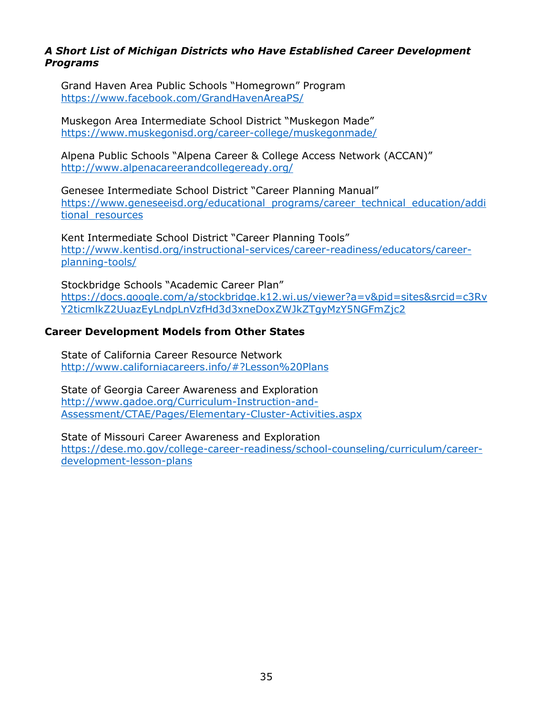#### *A Short List of Michigan Districts who Have Established Career Development Programs*

Grand Haven Area Public Schools "Homegrown" Program <https://www.facebook.com/GrandHavenAreaPS/>

Muskegon Area Intermediate School District "Muskegon Made" <https://www.muskegonisd.org/career-college/muskegonmade/>

Alpena Public Schools "Alpena Career & College Access Network (ACCAN)" <http://www.alpenacareerandcollegeready.org/>

Genesee Intermediate School District "Career Planning Manual" [https://www.geneseeisd.org/educational\\_programs/career\\_technical\\_education/addi](https://www.geneseeisd.org/educational_programs/career_technical_education/additional_resources) [tional\\_resources](https://www.geneseeisd.org/educational_programs/career_technical_education/additional_resources)

Kent Intermediate School District "Career Planning Tools" [http://www.kentisd.org/instructional-services/career-readiness/educators/career](http://www.kentisd.org/instructional-services/career-readiness/educators/career-planning-tools/)[planning-tools/](http://www.kentisd.org/instructional-services/career-readiness/educators/career-planning-tools/)

Stockbridge Schools "Academic Career Plan" [https://docs.google.com/a/stockbridge.k12.wi.us/viewer?a=v&pid=sites&srcid=c3Rv](https://docs.google.com/a/stockbridge.k12.wi.us/viewer?a=v&pid=sites&srcid=c3RvY2ticmlkZ2UuazEyLndpLnVzfHd3d3xneDoxZWJkZTgyMzY5NGFmZjc2) [Y2ticmlkZ2UuazEyLndpLnVzfHd3d3xneDoxZWJkZTgyMzY5NGFmZjc2](https://docs.google.com/a/stockbridge.k12.wi.us/viewer?a=v&pid=sites&srcid=c3RvY2ticmlkZ2UuazEyLndpLnVzfHd3d3xneDoxZWJkZTgyMzY5NGFmZjc2)

#### **Career Development Models from Other States**

State of California Career Resource Network <http://www.californiacareers.info/#?Lesson%20Plans>

State of Georgia Career Awareness and Exploration [http://www.gadoe.org/Curriculum-Instruction-and-](http://www.gadoe.org/Curriculum-Instruction-and-Assessment/CTAE/Pages/Elementary-Cluster-Activities.aspx)[Assessment/CTAE/Pages/Elementary-Cluster-Activities.aspx](http://www.gadoe.org/Curriculum-Instruction-and-Assessment/CTAE/Pages/Elementary-Cluster-Activities.aspx)

State of Missouri Career Awareness and Exploration [https://dese.mo.gov/college-career-readiness/school-counseling/curriculum/career](https://dese.mo.gov/college-career-readiness/school-counseling/curriculum/career-development-lesson-plans)[development-lesson-plans](https://dese.mo.gov/college-career-readiness/school-counseling/curriculum/career-development-lesson-plans)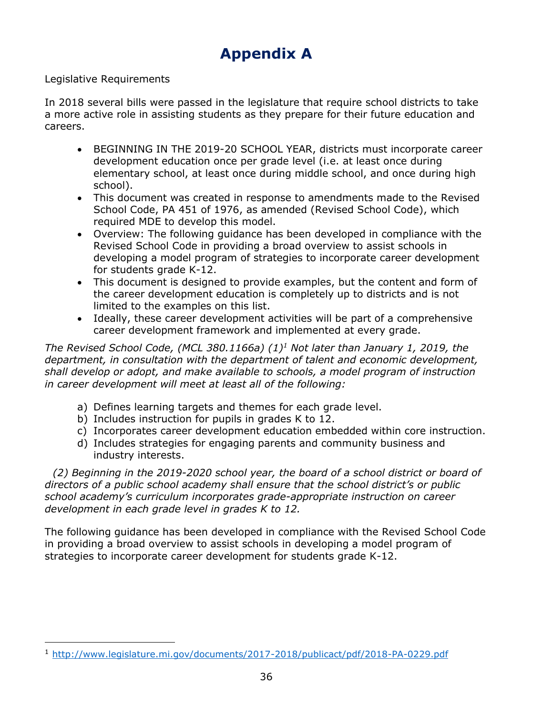## **Appendix A**

#### <span id="page-35-0"></span>Legislative Requirements

In 2018 several bills were passed in the legislature that require school districts to take a more active role in assisting students as they prepare for their future education and careers.

- BEGINNING IN THE 2019-20 SCHOOL YEAR, districts must incorporate career development education once per grade level (i.e. at least once during elementary school, at least once during middle school, and once during high school).
- This document was created in response to amendments made to the Revised School Code, PA 451 of 1976, as amended (Revised School Code), which required MDE to develop this model.
- Overview: The following guidance has been developed in compliance with the Revised School Code in providing a broad overview to assist schools in developing a model program of strategies to incorporate career development for students grade K-12.
- This document is designed to provide examples, but the content and form of the career development education is completely up to districts and is not limited to the examples on this list.
- Ideally, these career development activities will be part of a comprehensive career development framework and implemented at every grade.

*The Revised School Code, (MCL 380.1166a) (1)<sup>1</sup> Not later than January 1, 2019, the department, in consultation with the department of talent and economic development, shall develop or adopt, and make available to schools, a model program of instruction in career development will meet at least all of the following:*

- a) Defines learning targets and themes for each grade level.
- b) Includes instruction for pupils in grades K to 12.
- c) Incorporates career development education embedded within core instruction.
- d) Includes strategies for engaging parents and community business and industry interests.

*(2) Beginning in the 2019-2020 school year, the board of a school district or board of directors of a public school academy shall ensure that the school district's or public school academy's curriculum incorporates grade-appropriate instruction on career development in each grade level in grades K to 12.*

The following guidance has been developed in compliance with the Revised School Code in providing a broad overview to assist schools in developing a model program of strategies to incorporate career development for students grade K-12.

<sup>1</sup> [http://www.legislature.mi.gov/documents/2017-2018/publicact/pdf/2018-PA-0229.pdf](https://na01.safelinks.protection.outlook.com/?url=http%3A%2F%2Fwww.legislature.mi.gov%2Fdocuments%2F2017-2018%2Fpublicact%2Fpdf%2F2018-PA-0229.pdf&data=02%7C01%7CReyesL1%40michigan.gov%7C3647fb4699d3411758c708d661ebf4ae%7Cd5fb7087377742ad966a892ef47225d1%7C0%7C0%7C636804063379424257&sdata=3yKTXL3RP3mfocKB9aj0opejQcow8YvPQoSkoLwWgus%3D&reserved=0)